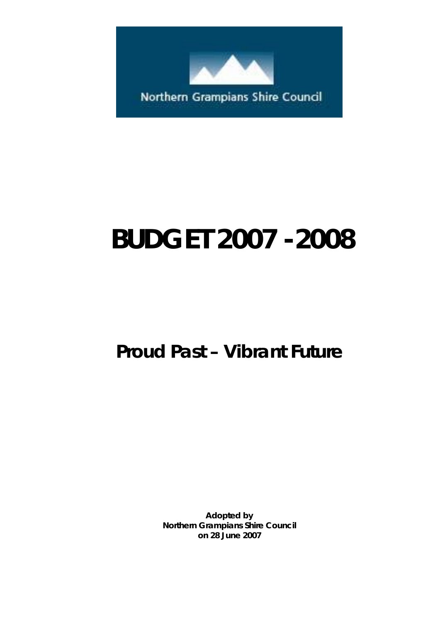

# **BUDGET 2007 -2008**

## *Proud Past – Vibrant Future*

*Adopted by*  **Northern Grampians Shire Council on 28 June 2007**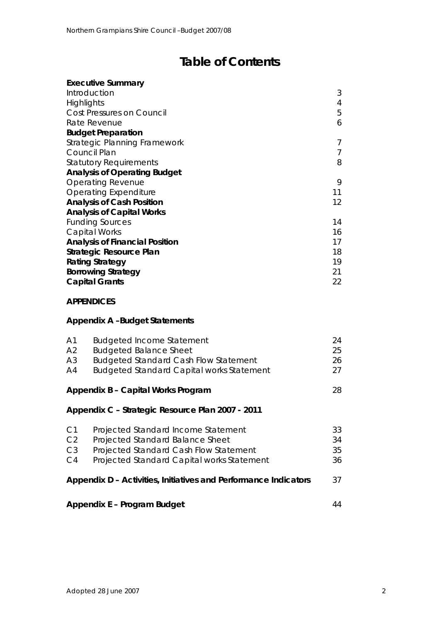## **Table of Contents**

| <b>Executive Summary</b>              |                |
|---------------------------------------|----------------|
| Introduction                          | 3              |
| Highlights                            | 4              |
| Cost Pressures on Council             | 5              |
| Rate Revenue                          | 6              |
| <b>Budget Preparation</b>             |                |
| Strategic Planning Framework          | 7              |
| Council Plan                          | $\overline{7}$ |
| <b>Statutory Requirements</b>         | 8              |
| <b>Analysis of Operating Budget</b>   |                |
| <b>Operating Revenue</b>              | 9              |
| <b>Operating Expenditure</b>          | 11             |
| <b>Analysis of Cash Position</b>      | 12             |
| <b>Analysis of Capital Works</b>      |                |
| <b>Funding Sources</b>                | 14             |
| <b>Capital Works</b>                  | 16             |
| <b>Analysis of Financial Position</b> | 17             |
| Strategic Resource Plan               | 18             |
| <b>Rating Strategy</b>                | 19             |
| <b>Borrowing Strategy</b>             | 21             |
| <b>Capital Grants</b>                 | 22             |

## **APPENDICES**

## **Appendix A –Budget Statements**

| A <sub>1</sub><br>A <sub>2</sub><br>A <sub>3</sub><br>A4 | <b>Budgeted Income Statement</b><br><b>Budgeted Balance Sheet</b><br><b>Budgeted Standard Cash Flow Statement</b><br>Budgeted Standard Capital works Statement  | 24<br>25<br>26<br>27 |
|----------------------------------------------------------|-----------------------------------------------------------------------------------------------------------------------------------------------------------------|----------------------|
|                                                          | Appendix B - Capital Works Program                                                                                                                              | 28                   |
|                                                          | Appendix C - Strategic Resource Plan 2007 - 2011                                                                                                                |                      |
| C1<br>C <sub>2</sub><br>C <sub>3</sub><br>C4             | Projected Standard Income Statement<br>Projected Standard Balance Sheet<br>Projected Standard Cash Flow Statement<br>Projected Standard Capital works Statement | 33<br>34<br>35<br>36 |
|                                                          | Appendix D - Activities, Initiatives and Performance Indicators                                                                                                 | 37                   |
|                                                          | Appendix E - Program Budget                                                                                                                                     | 44                   |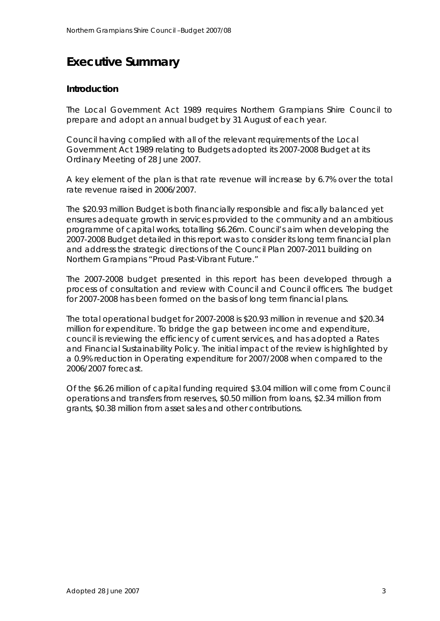## **Executive Summary**

## **Introduction**

The Local Government Act 1989 requires Northern Grampians Shire Council to prepare and adopt an annual budget by 31 August of each year.

Council having complied with all of the relevant requirements of the Local Government Act 1989 relating to Budgets adopted its 2007-2008 Budget at its Ordinary Meeting of 28 June 2007.

A key element of the plan is that rate revenue will increase by 6.7% over the total rate revenue raised in 2006/2007.

The \$20.93 million Budget is both financially responsible and fiscally balanced yet ensures adequate growth in services provided to the community and an ambitious programme of capital works, totalling \$6.26m. Council's aim when developing the 2007-2008 Budget detailed in this report was to consider its long term financial plan and address the strategic directions of the *Council Plan 2007-2011* building on Northern Grampians "Proud Past-Vibrant Future."

The 2007-2008 budget presented in this report has been developed through a process of consultation and review with Council and Council officers. The budget for 2007-2008 has been formed on the basis of long term financial plans.

The total operational budget for 2007-2008 is \$20.93 million in revenue and \$20.34 million for expenditure. To bridge the gap between income and expenditure, council is reviewing the efficiency of current services, and has adopted a Rates and Financial Sustainability Policy. The initial impact of the review is highlighted by a 0.9% reduction in Operating expenditure for 2007/2008 when compared to the 2006/2007 forecast.

Of the \$6.26 million of capital funding required \$3.04 million will come from Council operations and transfers from reserves, \$0.50 million from loans, \$2.34 million from grants, \$0.38 million from asset sales and other contributions.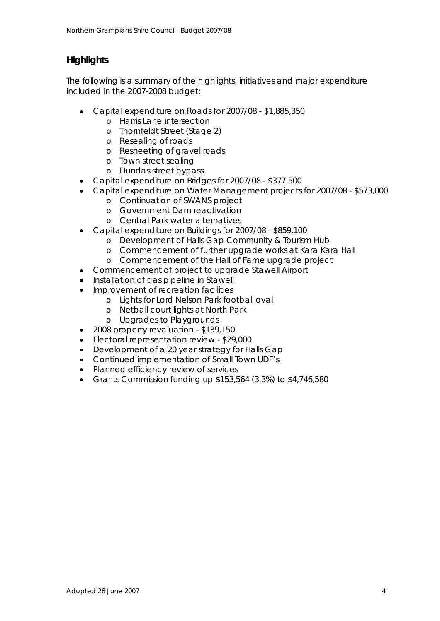## **Highlights**

The following is a summary of the highlights, initiatives and major expenditure included in the 2007-2008 budget;

- Capital expenditure on Roads for 2007/08 \$1,885,350
	- o Harris Lane intersection
	- o Thornfeldt Street (Stage 2)
	- o Resealing of roads
	- o Resheeting of gravel roads
	- o Town street sealing
	- o Dundas street bypass
- Capital expenditure on Bridges for 2007/08 \$377,500
- Capital expenditure on Water Management projects for 2007/08 \$573,000
	- o Continuation of SWANS project
	- o Government Dam reactivation
	- o Central Park water alternatives
- Capital expenditure on Buildings for 2007/08 \$859,100
	- o Development of Halls Gap Community & Tourism Hub
	- o Commencement of further upgrade works at Kara Kara Hall
	- o Commencement of the Hall of Fame upgrade project
- Commencement of project to upgrade Stawell Airport
- Installation of gas pipeline in Stawell
- Improvement of recreation facilities
	- o Lights for Lord Nelson Park football oval
	- o Netball court lights at North Park
	- o Upgrades to Playgrounds
- 2008 property revaluation \$139,150
- Electoral representation review \$29,000
- Development of a 20 year strategy for Halls Gap
- Continued implementation of Small Town UDF's
- Planned efficiency review of services
- Grants Commission funding up \$153,564 (3.3%) to \$4,746,580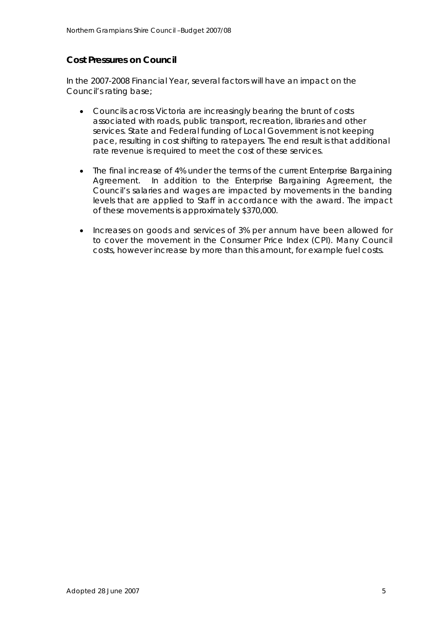## **Cost Pressures on Council**

In the 2007-2008 Financial Year, several factors will have an impact on the Council's rating base;

- Councils across Victoria are increasingly bearing the brunt of costs associated with roads, public transport, recreation, libraries and other services. State and Federal funding of Local Government is not keeping pace, resulting in cost shifting to ratepayers. The end result is that additional rate revenue is required to meet the cost of these services.
- The final increase of 4% under the terms of the current Enterprise Bargaining Agreement. In addition to the Enterprise Bargaining Agreement, the Council's salaries and wages are impacted by movements in the banding levels that are applied to Staff in accordance with the award. The impact of these movements is approximately \$370,000.
- Increases on goods and services of 3% per annum have been allowed for to cover the movement in the Consumer Price Index (CPI). Many Council costs, however increase by more than this amount, for example fuel costs.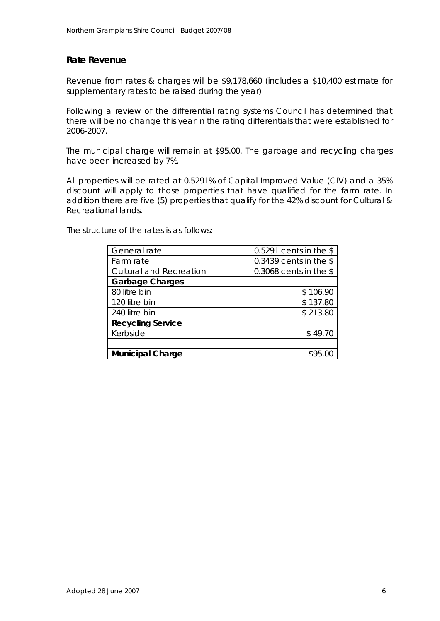## **Rate Revenue**

Revenue from rates & charges will be \$9,178,660 (includes a \$10,400 estimate for supplementary rates to be raised during the year)

Following a review of the differential rating systems Council has determined that there will be no change this year in the rating differentials that were established for 2006-2007.

The municipal charge will remain at \$95.00. The garbage and recycling charges have been increased by 7%.

All properties will be rated at 0.5291% of Capital Improved Value (CIV) and a 35% discount will apply to those properties that have qualified for the farm rate. In addition there are five (5) properties that qualify for the 42% discount for Cultural & Recreational lands.

The structure of the rates is as follows:

| General rate                   | 0.5291 cents in the $$$  |
|--------------------------------|--------------------------|
| Farm rate                      | $0.3439$ cents in the \$ |
| <b>Cultural and Recreation</b> | 0.3068 cents in the $$$  |
| <b>Garbage Charges</b>         |                          |
| 80 litre bin                   | \$106.90                 |
| 120 litre bin                  | \$137.80                 |
| 240 litre bin                  | \$213.80                 |
| <b>Recycling Service</b>       |                          |
| Kerbside                       | \$49.70                  |
|                                |                          |
| <b>Municipal Charge</b>        | \$95.00                  |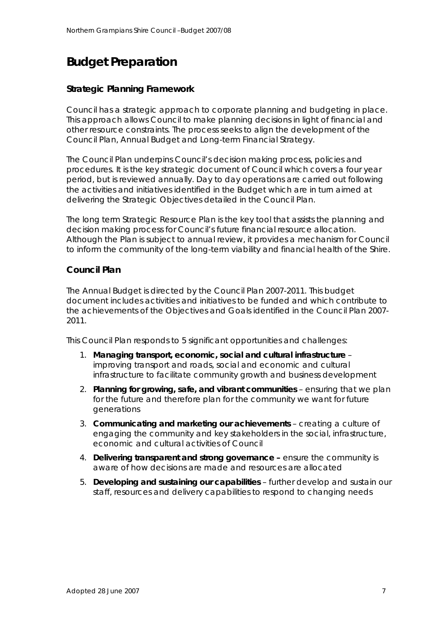## **Budget Preparation**

## **Strategic Planning Framework**

Council has a strategic approach to corporate planning and budgeting in place. This approach allows Council to make planning decisions in light of financial and other resource constraints. The process seeks to align the development of the Council Plan, Annual Budget and Long-term Financial Strategy.

The Council Plan underpins Council's decision making process, policies and procedures. It is the key strategic document of Council which covers a four year period, but is reviewed annually. Day to day operations are carried out following the activities and initiatives identified in the Budget which are in turn aimed at delivering the Strategic Objectives detailed in the Council Plan.

The long term Strategic Resource Plan is the key tool that assists the planning and decision making process for Council's future financial resource allocation. Although the Plan is subject to annual review, it provides a mechanism for Council to inform the community of the long-term viability and financial health of the Shire.

## **Council Plan**

The Annual Budget is directed by the Council Plan 2007-2011. This budget document includes activities and initiatives to be funded and which contribute to the achievements of the Objectives and Goals identified in the Council Plan 2007- 2011.

This Council Plan responds to 5 significant opportunities and challenges:

- 1. **Managing transport, economic, social and cultural infrastructure**  improving transport and roads, social and economic and cultural infrastructure to facilitate community growth and business development
- 2. **Planning for growing, safe, and vibrant communities** ensuring that we plan for the future and therefore plan for the community we want for future generations
- 3. **Communicating and marketing our achievements**  creating a culture of engaging the community and key stakeholders in the social, infrastructure, economic and cultural activities of Council
- 4. **Delivering transparent and strong governance** ensure the community is aware of how decisions are made and resources are allocated
- 5. **Developing and sustaining our capabilities** further develop and sustain our staff, resources and delivery capabilities to respond to changing needs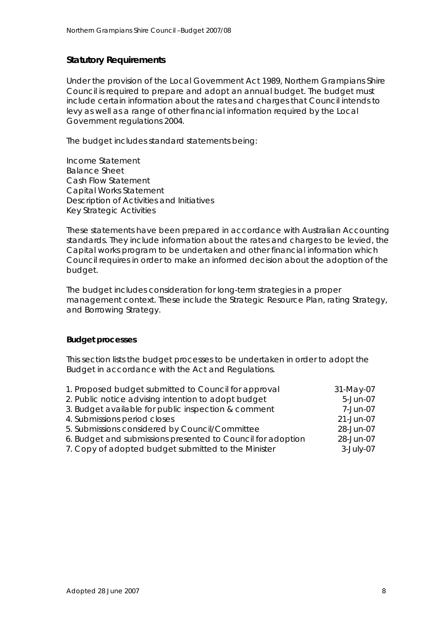## **Statutory Requirements**

Under the provision of the Local Government Act 1989, Northern Grampians Shire Council is required to prepare and adopt an annual budget. The budget must include certain information about the rates and charges that Council intends to levy as well as a range of other financial information required by the Local Government regulations 2004.

The budget includes standard statements being:

Income Statement Balance Sheet Cash Flow Statement Capital Works Statement Description of Activities and Initiatives Key Strategic Activities

These statements have been prepared in accordance with Australian Accounting standards. They include information about the rates and charges to be levied, the Capital works program to be undertaken and other financial information which Council requires in order to make an informed decision about the adoption of the budget.

The budget includes consideration for long-term strategies in a proper management context. These include the Strategic Resource Plan, rating Strategy, and Borrowing Strategy.

#### **Budget processes**

This section lists the budget processes to be undertaken in order to adopt the Budget in accordance with the Act and Regulations.

| 1. Proposed budget submitted to Council for approval        | 31-May-07    |
|-------------------------------------------------------------|--------------|
| 2. Public notice advising intention to adopt budget         | 5-Jun-07     |
| 3. Budget available for public inspection & comment         | 7-Jun-07     |
| 4. Submissions period closes                                | 21-Jun-07    |
| 5. Submissions considered by Council/Committee              | 28-Jun-07    |
| 6. Budget and submissions presented to Council for adoption | 28-Jun-07    |
| 7. Copy of adopted budget submitted to the Minister         | $3$ -July-07 |
|                                                             |              |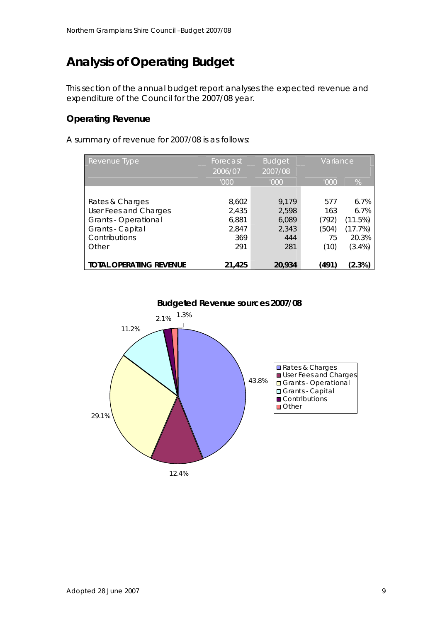## **Analysis of Operating Budget**

This section of the annual budget report analyses the expected revenue and expenditure of the Council for the 2007/08 year.

## **Operating Revenue**

A summary of revenue for 2007/08 is as follows:

| Revenue Type                   | Forecast | <b>Budget</b> | Variance |           |
|--------------------------------|----------|---------------|----------|-----------|
|                                | 2006/07  | 2007/08       |          |           |
|                                | '000'    | '000          | '000'    | %         |
|                                |          |               |          |           |
| Rates & Charges                | 8,602    | 9.179         | 577      | 6.7%      |
| User Fees and Charges          | 2,435    | 2,598         | 163      | 6.7%      |
| Grants - Operational           | 6,881    | 6,089         | (792)    | (11.5%)   |
| Grants - Capital               | 2,847    | 2,343         | (504)    | (17.7%)   |
| Contributions                  | 369      | 444           | 75       | 20.3%     |
| Other                          | 291      | 281           | (10)     | $(3.4\%)$ |
|                                |          |               |          |           |
| <b>TOTAL OPERATING REVENUE</b> | 21,425   | 20,934        | (491)    | $(2.3\%)$ |

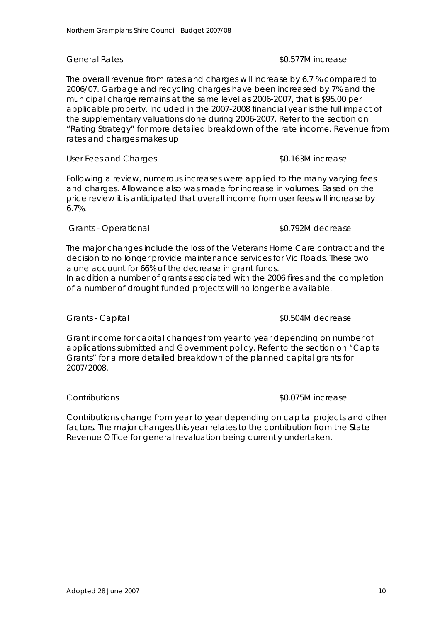The overall revenue from rates and charges will increase by 6.7 % compared to 2006/07. Garbage and recycling charges have been increased by 7% and the municipal charge remains at the same level as 2006-2007, that is \$95.00 per applicable property. Included in the 2007-2008 financial year is the full impact of the supplementary valuations done during 2006-2007. Refer to the section on "Rating Strategy" for more detailed breakdown of the rate income. Revenue from rates and charges makes up

#### User Fees and Charges **business 80.163M** increase

Following a review, numerous increases were applied to the many varying fees and charges. Allowance also was made for increase in volumes. Based on the price review it is anticipated that overall income from user fees will increase by 6.7%.

### *Grants - Operational \$0.792M decrease*

The major changes include the loss of the Veterans Home Care contract and the decision to no longer provide maintenance services for Vic Roads. These two alone account for 66% of the decrease in grant funds.

In addition a number of grants associated with the 2006 fires and the completion of a number of drought funded projects will no longer be available.

## *Grants - Capital \$0.504M decrease*

Grant income for capital changes from year to year depending on number of applications submitted and Government policy. Refer to the section on "Capital Grants" for a more detailed breakdown of the planned capital grants for 2007/2008.

#### *Contributions \$0.075M increase*

# Contributions change from year to year depending on capital projects and other

factors. The major changes this year relates to the contribution from the State Revenue Office for general revaluation being currently undertaken.

### *General Rates \$0.577M increase*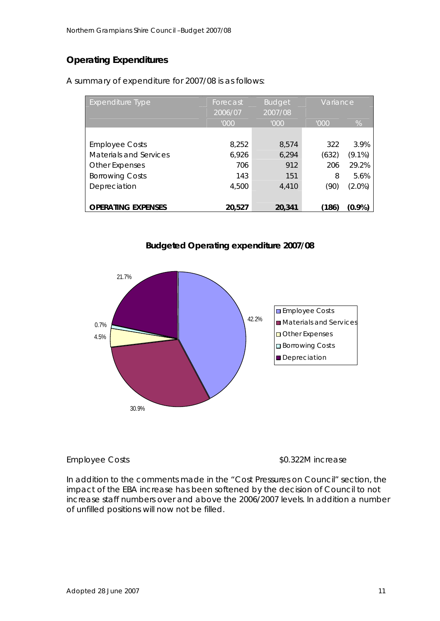## **Operating Expenditures**

| <b>Expenditure Type</b>   | Forecast<br>2006/07 | <b>Budget</b><br>2007/08 | Variance |           |
|---------------------------|---------------------|--------------------------|----------|-----------|
|                           | '000'               | '000'                    | '000     | %         |
|                           |                     |                          |          |           |
| <b>Employee Costs</b>     | 8,252               | 8,574                    | 322      | 3.9%      |
| Materials and Services    | 6,926               | 6,294                    | (632)    | $(9.1\%)$ |
| <b>Other Expenses</b>     | 706                 | 912                      | 206      | 29.2%     |
| <b>Borrowing Costs</b>    | 143                 | 151                      | 8        | 5.6%      |
| Depreciation              | 4,500               | 4.410                    | (90)     | $(2.0\%)$ |
|                           |                     |                          |          |           |
| <b>OPERATING EXPENSES</b> | 20,527              | 20,341                   | (186)    | (0.9%)    |

A summary of expenditure for 2007/08 is as follows:





*Employee Costs \$0.322M increase* 

In addition to the comments made in the "*Cost Pressures on Council"* section, the impact of the EBA increase has been softened by the decision of Council to not increase staff numbers over and above the 2006/2007 levels. In addition a number of unfilled positions will now not be filled.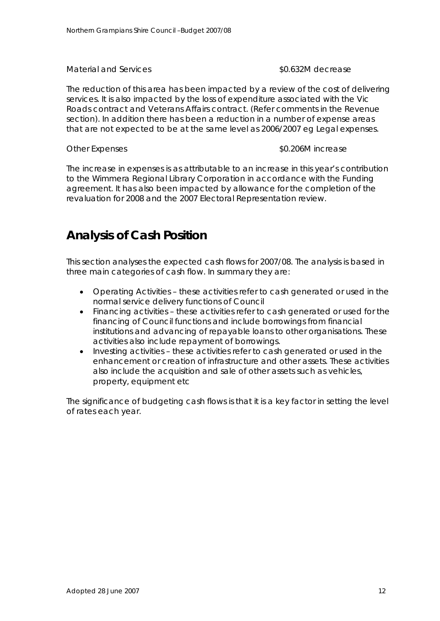### *Material and Services \$0.632M decrease*

The reduction of this area has been impacted by a review of the cost of delivering services. It is also impacted by the loss of expenditure associated with the Vic Roads contract and Veterans Affairs contract. (Refer comments in the Revenue section). In addition there has been a reduction in a number of expense areas that are not expected to be at the same level as 2006/2007 eg Legal expenses.

#### *Other Expenses \$0.206M increase*

The increase in expenses is as attributable to an increase in this year's contribution to the Wimmera Regional Library Corporation in accordance with the Funding agreement. It has also been impacted by allowance for the completion of the revaluation for 2008 and the 2007 Electoral Representation review.

## **Analysis of Cash Position**

This section analyses the expected cash flows for 2007/08. The analysis is based in three main categories of cash flow. In summary they are:

- Operating Activities these activities refer to cash generated or used in the normal service delivery functions of Council
- Financing activities these activities refer to cash generated or used for the financing of Council functions and include borrowings from financial institutions and advancing of repayable loans to other organisations. These activities also include repayment of borrowings.
- Investing activities these activities refer to cash generated or used in the enhancement or creation of infrastructure and other assets. These activities also include the acquisition and sale of other assets such as vehicles, property, equipment etc

The significance of budgeting cash flows is that it is a key factor in setting the level of rates each year.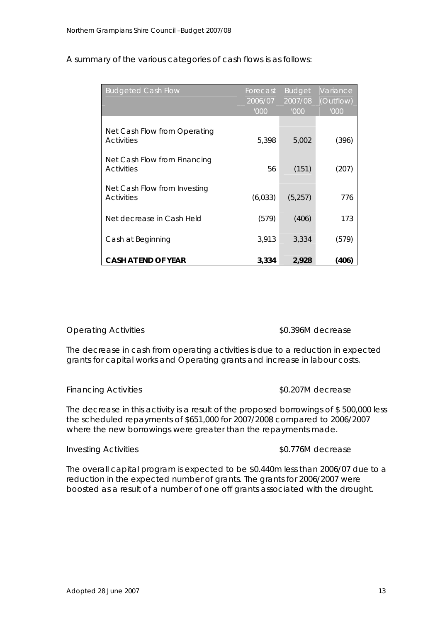| <b>Budgeted Cash Flow</b>                         | Forecast | <b>Budget</b> | Variance  |
|---------------------------------------------------|----------|---------------|-----------|
|                                                   | 2006/07  | 2007/08       | (Outflow) |
|                                                   | '000     | '000          | '000      |
| Net Cash Flow from Operating<br><b>Activities</b> | 5,398    | 5,002         | (396)     |
| Net Cash Flow from Financing<br><b>Activities</b> | 56       | (151)         | (207)     |
| Net Cash Flow from Investing<br><b>Activities</b> | (6,033)  | (5,257)       | 776       |
| Net decrease in Cash Held                         | (579)    | (406)         | 173       |
| Cash at Beginning                                 | 3,913    | 3,334         | (579)     |
| <b>CASH AT END OF YEAR</b>                        | 3,334    | 2,928         | (406)     |

A summary of the various categories of cash flows is as follows:

#### *Operating Activities \$0.396M decrease*

The decrease in cash from operating activities is due to a reduction in expected grants for capital works and Operating grants and increase in labour costs.

#### *Financing Activities \$0.207M decrease*

The decrease in this activity is a result of the proposed borrowings of \$ 500,000 less the scheduled repayments of \$651,000 for 2007/2008 compared to 2006/2007 where the new borrowings were greater than the repayments made.

#### *Investing Activities \$0.776M decrease*

### The overall capital program is expected to be \$0.440m less than 2006/07 due to a reduction in the expected number of grants. The grants for 2006/2007 were boosted as a result of a number of one off grants associated with the drought.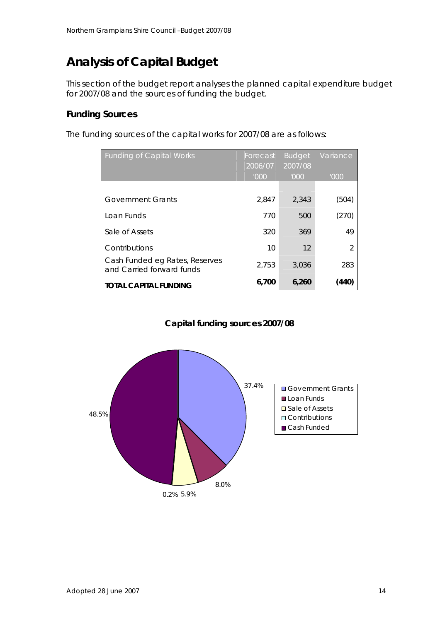## **Analysis of Capital Budget**

This section of the budget report analyses the planned capital expenditure budget for 2007/08 and the sources of funding the budget.

## **Funding Sources**

The funding sources of the capital works for 2007/08 are as follows:

| Funding of Capital Works                                    | Forecast<br>2006/07 | <b>Budget</b><br>2007/08 | Variance      |
|-------------------------------------------------------------|---------------------|--------------------------|---------------|
|                                                             | '000                | '000'                    | '000          |
|                                                             |                     |                          |               |
| Government Grants                                           | 2,847               | 2,343                    | (504)         |
| Loan Funds                                                  | 770                 | 500                      | (270)         |
| Sale of Assets                                              | 320                 | 369                      | 49            |
| Contributions                                               | 10                  | 12                       | $\mathcal{P}$ |
| Cash Funded eg Rates, Reserves<br>and Carried forward funds | 2,753               | 3,036                    | 283           |
| <b>TOTAL CAPITAL FUNDING</b>                                | 6,700               | 6,260                    | (440)         |

## **Capital funding sources 2007/08**

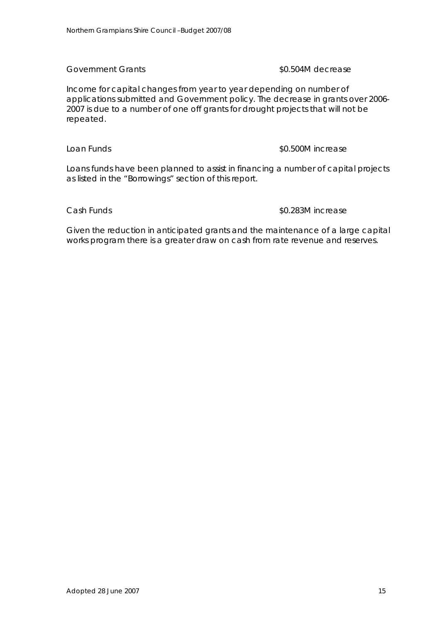### *Government Grants \$0.504M decrease*

Income for capital changes from year to year depending on number of applications submitted and Government policy. The decrease in grants over 2006- 2007 is due to a number of one off grants for drought projects that will not be repeated.

#### *Loan Funds \$0.500M increase*

Loans funds have been planned to assist in financing a number of capital projects as listed in the "Borrowings" section of this report.

#### *Cash Funds \$0.283M increase*

Given the reduction in anticipated grants and the maintenance of a large capital works program there is a greater draw on cash from rate revenue and reserves.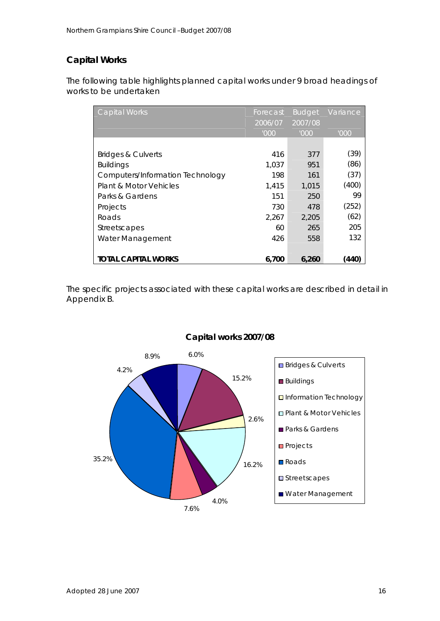## **Capital Works**

The following table highlights planned capital works under 9 broad headings of works to be undertaken

| <b>Capital Works</b>             | Forecast | <b>Budget</b> | Variance |
|----------------------------------|----------|---------------|----------|
|                                  | 2006/07  | 2007/08       |          |
|                                  | '000     | '000          | '000     |
|                                  |          |               |          |
| <b>Bridges &amp; Culverts</b>    | 416      | 377           | (39)     |
| <b>Buildings</b>                 | 1.037    | 951           | (86)     |
| Computers/Information Technology | 198      | 161           | (37)     |
| Plant & Motor Vehicles           | 1,415    | 1,015         | (400)    |
| Parks & Gardens                  | 151      | 250           | 99       |
| Projects                         | 730      | 478           | (252)    |
| Roads                            | 2.267    | 2.205         | (62)     |
| <b>Streetscapes</b>              | 60       | 265           | 205      |
| Water Management                 | 426      | 558           | 132      |
|                                  |          |               |          |
| <b>TOTAL CAPITAL WORKS</b>       | 6,700    | 6,260         | (440)    |

The specific projects associated with these capital works are described in detail in Appendix B.



## **Capital works 2007/08**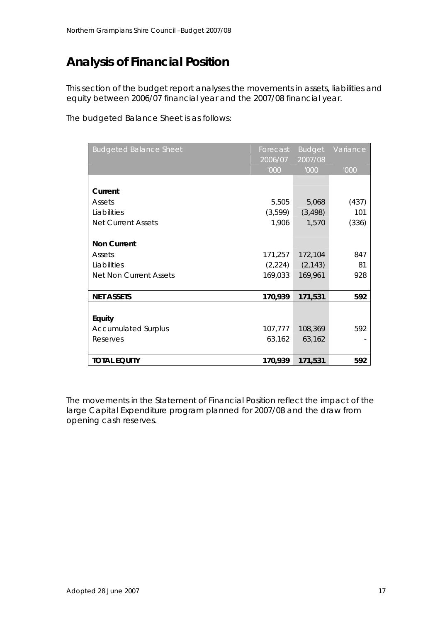## **Analysis of Financial Position**

This section of the budget report analyses the movements in assets, liabilities and equity between 2006/07 financial year and the 2007/08 financial year.

The budgeted Balance Sheet is as follows:

| <b>Budgeted Balance Sheet</b> | Forecast | <b>Budget</b> | Variance |
|-------------------------------|----------|---------------|----------|
|                               | 2006/07  | 2007/08       |          |
|                               | '000     | '000          | '000     |
|                               |          |               |          |
| Current                       |          |               |          |
| Assets                        | 5,505    | 5,068         | (437)    |
| Liabilities                   | (3,599)  | (3, 498)      | 101      |
| <b>Net Current Assets</b>     | 1,906    | 1,570         | (336)    |
|                               |          |               |          |
| <b>Non Current</b>            |          |               |          |
| Assets                        | 171,257  | 172,104       | 847      |
| Liabilities                   | (2,224)  | (2, 143)      | 81       |
| <b>Net Non Current Assets</b> | 169,033  | 169,961       | 928      |
|                               |          |               |          |
| <b>NET ASSETS</b>             | 170,939  | 171,531       | 592      |
|                               |          |               |          |
| Equity                        |          |               |          |
| <b>Accumulated Surplus</b>    | 107,777  | 108,369       | 592      |
| Reserves                      | 63,162   | 63,162        |          |
|                               |          |               |          |
| <b>TOTAL EQUITY</b>           | 170,939  | 171,531       | 592      |

The movements in the Statement of Financial Position reflect the impact of the large Capital Expenditure program planned for 2007/08 and the draw from opening cash reserves.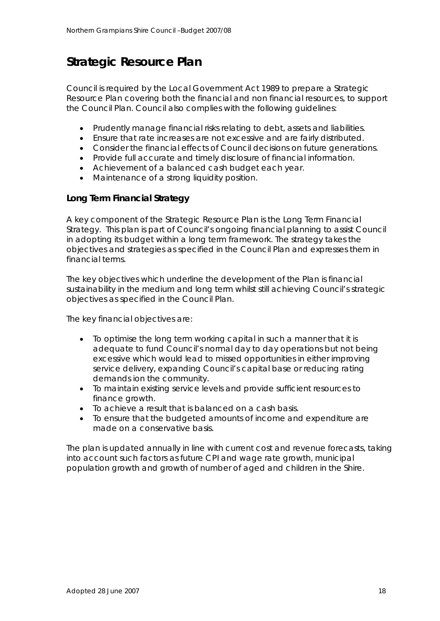## **Strategic Resource Plan**

Council is required by the Local Government Act 1989 to prepare a Strategic Resource Plan covering both the financial and non financial resources, to support the Council Plan. Council also complies with the following guidelines:

- Prudently manage financial risks relating to debt, assets and liabilities.
- Ensure that rate increases are not excessive and are fairly distributed.
- Consider the financial effects of Council decisions on future generations.
- Provide full accurate and timely disclosure of financial information.
- Achievement of a balanced cash budget each year.
- Maintenance of a strong liquidity position.

## **Long Term Financial Strategy**

A key component of the Strategic Resource Plan is the Long Term Financial Strategy. This plan is part of Council's ongoing financial planning to assist Council in adopting its budget within a long term framework. The strategy takes the objectives and strategies as specified in the Council Plan and expresses them in financial terms.

The key objectives which underline the development of the Plan is financial sustainability in the medium and long term whilst still achieving Council's strategic objectives as specified in the Council Plan.

The key financial objectives are:

- To optimise the long term working capital in such a manner that it is adequate to fund Council's normal day to day operations but not being excessive which would lead to missed opportunities in either improving service delivery, expanding Council's capital base or reducing rating demands ion the community.
- To maintain existing service levels and provide sufficient resources to finance growth.
- To achieve a result that is balanced on a cash basis.
- To ensure that the budgeted amounts of income and expenditure are made on a conservative basis.

The plan is updated annually in line with current cost and revenue forecasts, taking into account such factors as future CPI and wage rate growth, municipal population growth and growth of number of aged and children in the Shire.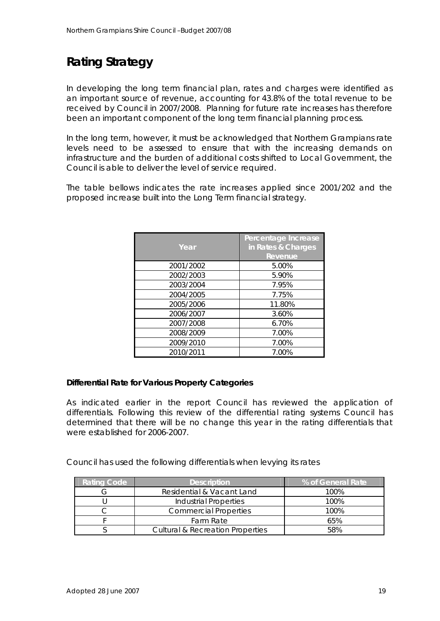## **Rating Strategy**

In developing the long term financial plan, rates and charges were identified as an important source of revenue, accounting for 43.8% of the total revenue to be received by Council in 2007/2008. Planning for future rate increases has therefore been an important component of the long term financial planning process.

In the long term, however, it must be acknowledged that Northern Grampians rate levels need to be assessed to ensure that with the increasing demands on infrastructure and the burden of additional costs shifted to Local Government, the Council is able to deliver the level of service required.

The table bellows indicates the rate increases applied since 2001/202 and the proposed increase built into the Long Term financial strategy.

| Year      | Percentage Increase<br>in Rates & Charges<br>Revenue |
|-----------|------------------------------------------------------|
| 2001/2002 | 5.00%                                                |
| 2002/2003 | 5.90%                                                |
| 2003/2004 | 7.95%                                                |
| 2004/2005 | 7.75%                                                |
| 2005/2006 | 11.80%                                               |
| 2006/2007 | 3.60%                                                |
| 2007/2008 | 6.70%                                                |
| 2008/2009 | 7.00%                                                |
| 2009/2010 | 7.00%                                                |
| 2010/2011 | 7.00%                                                |

#### **Differential Rate for Various Property Categories**

As indicated earlier in the report Council has reviewed the application of differentials. Following this review of the differential rating systems Council has determined that there will be no change this year in the rating differentials that were established for 2006-2007.

Council has used the following differentials when levying its rates

| <b>Rating Code</b> | <b>Description</b>                          | % of General Rate |
|--------------------|---------------------------------------------|-------------------|
|                    | Residential & Vacant Land                   | 100%              |
|                    | <b>Industrial Properties</b>                | 100%              |
|                    | <b>Commercial Properties</b>                | 100%              |
|                    | Farm Rate                                   | 65%               |
|                    | <b>Cultural &amp; Recreation Properties</b> | 58%               |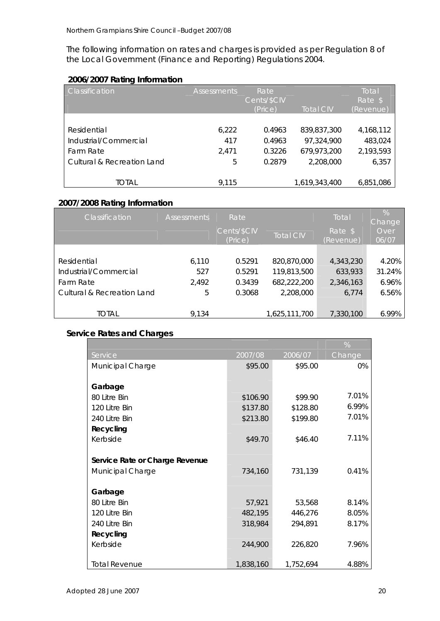The following information on rates and charges is provided as per Regulation 8 of the Local Government (Finance and Reporting) Regulations 2004.

## **2006/2007 Rating Information**

| <b>Classification</b>      | <b>Assessments</b> | Rate        |                  | Total     |
|----------------------------|--------------------|-------------|------------------|-----------|
|                            |                    | Cents/\$CIV |                  | Rate \$   |
|                            |                    | (Price)     | <b>Total CIV</b> | (Revenue) |
|                            |                    |             |                  |           |
| Residential                | 6,222              | 0.4963      | 839,837,300      | 4,168,112 |
| Industrial/Commercial      | 417                | 0.4963      | 97,324,900       | 483,024   |
| Farm Rate                  | 2.471              | 0.3226      | 679,973,200      | 2,193,593 |
| Cultural & Recreation Land | 5                  | 0.2879      | 2,208,000        | 6,357     |
|                            |                    |             |                  |           |
| TOTAL                      | 9.115              |             | 1,619,343,400    | 6,851,086 |

## **2007/2008 Rating Information**

| Classification                        | <b>Assessments</b> | Rate                   |                  | Total                | $\frac{1}{2}$<br>Change |
|---------------------------------------|--------------------|------------------------|------------------|----------------------|-------------------------|
|                                       |                    | Cents/\$CIV<br>(Price) | <b>Total CIV</b> | Rate \$<br>(Revenue) | Over<br>06/07           |
|                                       |                    |                        |                  |                      |                         |
| Residential                           | 6,110              | 0.5291                 | 820,870,000      | 4,343,230            | 4.20%                   |
| Industrial/Commercial                 | 527                | 0.5291                 | 119,813,500      | 633,933              | 31.24%                  |
| Farm Rate                             | 2,492              | 0.3439                 | 682,222,200      | 2,346,163            | 6.96%                   |
| <b>Cultural &amp; Recreation Land</b> | 5                  | 0.3068                 | 2,208,000        | 6,774                | 6.56%                   |
|                                       |                    |                        |                  |                      |                         |
| total                                 | 9.134              |                        | 1,625,111,700    | 7,330,100            | 6.99%                   |

## **Service Rates and Charges**

|                                |           |           | %      |
|--------------------------------|-----------|-----------|--------|
| Service                        | 2007/08   | 2006/07   | Change |
| <b>Municipal Charge</b>        | \$95.00   | \$95.00   | $0\%$  |
|                                |           |           |        |
| Garbage                        |           |           |        |
| 80 Litre Bin                   | \$106.90  | \$99.90   | 7.01%  |
| 120 Litre Bin                  | \$137.80  | \$128.80  | 6.99%  |
| 240 Litre Bin                  | \$213.80  | \$199.80  | 7.01%  |
| Recycling                      |           |           |        |
| Kerbside                       | \$49.70   | \$46.40   | 7.11%  |
|                                |           |           |        |
| Service Rate or Charge Revenue |           |           |        |
| Municipal Charge               | 734,160   | 731,139   | 0.41%  |
|                                |           |           |        |
| Garbage                        |           |           |        |
| 80 Litre Bin                   | 57,921    | 53,568    | 8.14%  |
| 120 Litre Bin                  | 482,195   | 446,276   | 8.05%  |
| 240 Litre Bin                  | 318,984   | 294,891   | 8.17%  |
| Recycling                      |           |           |        |
| Kerbside                       | 244,900   | 226,820   | 7.96%  |
|                                |           |           |        |
| <b>Total Revenue</b>           | 1,838,160 | 1,752,694 | 4.88%  |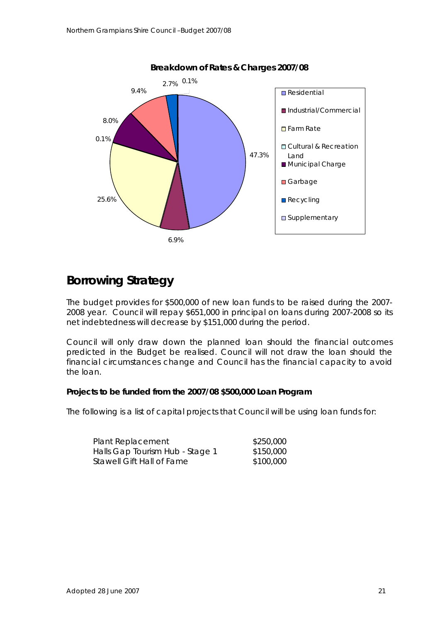

## **Borrowing Strategy**

The budget provides for \$500,000 of new loan funds to be raised during the 2007- 2008 year. Council will repay \$651,000 in principal on loans during 2007-2008 so its net indebtedness will decrease by \$151,000 during the period.

Council will only draw down the planned loan should the financial outcomes predicted in the Budget be realised. Council will not draw the loan should the financial circumstances change and Council has the financial capacity to avoid the loan.

#### **Projects to be funded from the 2007/08 \$500,000 Loan Program**

The following is a list of capital projects that Council will be using loan funds for:

| Plant Replacement               | \$250,000 |
|---------------------------------|-----------|
| Halls Gap Tourism Hub - Stage 1 | \$150,000 |
| Stawell Gift Hall of Fame       | \$100,000 |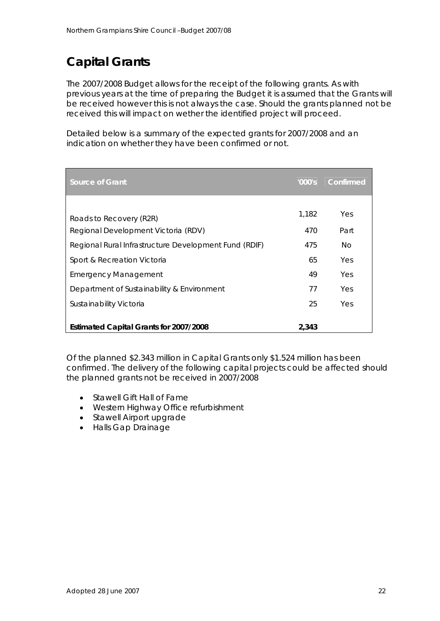## **Capital Grants**

The 2007/2008 Budget allows for the receipt of the following grants. As with previous years at the time of preparing the Budget it is assumed that the Grants will be received however this is not always the case. Should the grants planned not be received this will impact on wether the identified project will proceed.

Detailed below is a summary of the expected grants for 2007/2008 and an indication on whether they have been confirmed or not.

| Source of Grant                                       | '000's | Confirmed |
|-------------------------------------------------------|--------|-----------|
|                                                       |        |           |
| Roads to Recovery (R2R)                               | 1.182  | Yes       |
| Regional Development Victoria (RDV)                   | 470    | Part      |
| Regional Rural Infrastructure Development Fund (RDIF) | 475    | No.       |
| Sport & Recreation Victoria                           | 65     | Yes       |
| <b>Emergency Management</b>                           | 49     | Yes       |
| Department of Sustainability & Environment            | 77     | Yes       |
| Sustainability Victoria                               | 25     | Yes       |
|                                                       |        |           |
| Estimated Capital Grants for 2007/2008                | 2,343  |           |

Of the planned \$2.343 million in Capital Grants only \$1.524 million has been confirmed. The delivery of the following capital projects could be affected should the planned grants not be received in 2007/2008

- Stawell Gift Hall of Fame
- Western Highway Office refurbishment
- Stawell Airport upgrade
- Halls Gap Drainage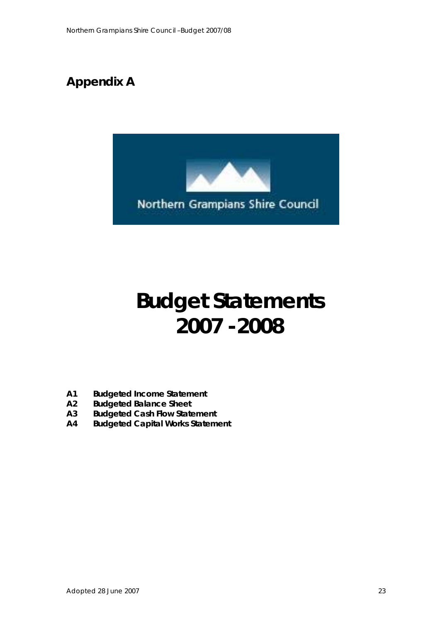

# **Budget Statements 2007 -2008**

- **A1 Budgeted Income Statement**
- **A2 Budgeted Balance Sheet**
- **A3 Budgeted Cash Flow Statement**
- **A4 Budgeted Capital Works Statement**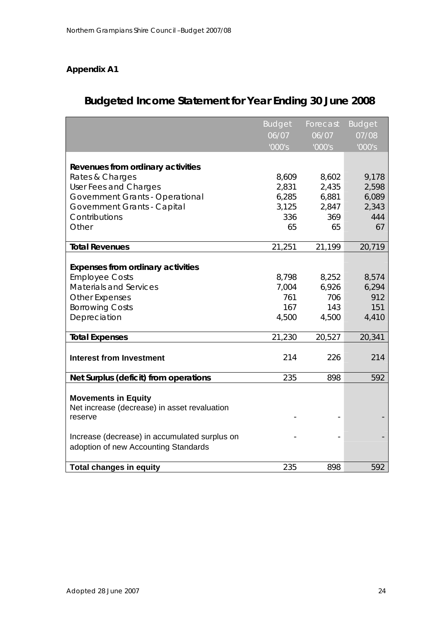|                                               | <b>Budget</b> | Forecast | <b>Budget</b>        |
|-----------------------------------------------|---------------|----------|----------------------|
|                                               | 06/07         | 06/07    | 07/08                |
|                                               | '000's        | '000's   | $\overline{1000}$ 's |
|                                               |               |          |                      |
| Revenues from ordinary activities             |               |          |                      |
| Rates & Charges                               | 8,609         | 8,602    | 9,178                |
| User Fees and Charges                         | 2,831         | 2,435    | 2,598                |
| Government Grants - Operational               | 6,285         | 6,881    | 6,089                |
| Government Grants - Capital                   | 3,125         | 2,847    | 2,343                |
| Contributions                                 | 336           | 369      | 444                  |
| Other                                         | 65            | 65       | 67                   |
| <b>Total Revenues</b>                         | 21,251        | 21,199   | 20,719               |
|                                               |               |          |                      |
| <b>Expenses from ordinary activities</b>      |               |          |                      |
| <b>Employee Costs</b>                         | 8,798         | 8,252    | 8,574                |
| <b>Materials and Services</b>                 | 7,004         | 6,926    | 6,294                |
| <b>Other Expenses</b>                         | 761           | 706      | 912                  |
| <b>Borrowing Costs</b>                        | 167           | 143      | 151                  |
| Depreciation                                  | 4,500         | 4,500    | 4,410                |
| <b>Total Expenses</b>                         | 21,230        | 20,527   | 20,341               |
|                                               |               |          |                      |
| <b>Interest from Investment</b>               | 214           | 226      | 214                  |
| Net Surplus (deficit) from operations         | 235           | 898      | 592                  |
|                                               |               |          |                      |
| <b>Movements in Equity</b>                    |               |          |                      |
| Net increase (decrease) in asset revaluation  |               |          |                      |
| reserve                                       |               |          |                      |
| Increase (decrease) in accumulated surplus on |               |          |                      |
| adoption of new Accounting Standards          |               |          |                      |
|                                               |               |          |                      |
| <b>Total changes in equity</b>                | 235           | 898      | 592                  |

## **Budgeted Income Statement for Year Ending 30 June 2008**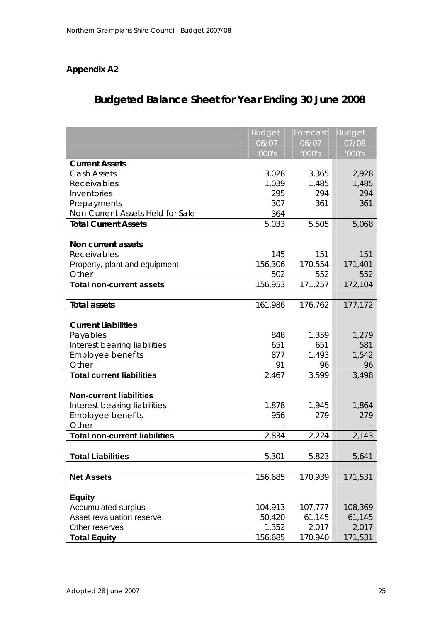## **Budgeted Balance Sheet for Year Ending 30 June 2008**

|                                      | <b>Budget</b> | Forecast | <b>Budget</b> |
|--------------------------------------|---------------|----------|---------------|
|                                      | 06/07         | 06/07    | 07/08         |
|                                      | '000's        | '000's   | '000's        |
| <b>Current Assets</b>                |               |          |               |
| Cash Assets                          | 3,028         | 3,365    | 2,928         |
| Receivables                          | 1,039         | 1,485    | 1,485         |
| Inventories                          | 295           | 294      | 294           |
| Prepayments                          | 307           | 361      | 361           |
| Non Current Assets Held for Sale     | 364           |          |               |
| <b>Total Current Assets</b>          | 5,033         | 5,505    | 5,068         |
|                                      |               |          |               |
| Non current assets                   |               |          |               |
| Receivables                          | 145           | 151      | 151           |
| Property, plant and equipment        | 156,306       | 170,554  | 171,401       |
| Other                                | 502           | 552      | 552           |
| <b>Total non-current assets</b>      | 156,953       | 171,257  | 172,104       |
|                                      |               |          |               |
| <b>Total assets</b>                  | 161,986       | 176,762  | 177,172       |
|                                      |               |          |               |
| <b>Current Liabilities</b>           |               |          |               |
| Payables                             | 848           | 1,359    | 1,279         |
| Interest bearing liabilities         | 651           | 651      | 581           |
| <b>Employee benefits</b>             | 877           | 1,493    | 1,542         |
| Other                                | 91            | 96       | 96            |
| <b>Total current liabilities</b>     | 2,467         | 3,599    | 3,498         |
|                                      |               |          |               |
| <b>Non-current liabilities</b>       |               |          |               |
| Interest bearing liabilities         | 1,878         | 1,945    | 1,864         |
| <b>Employee benefits</b>             | 956           | 279      | 279           |
| Other                                |               |          |               |
| <b>Total non-current liabilities</b> | 2,834         | 2,224    | 2,143         |
|                                      |               |          |               |
| Total Liabilities                    | 5,301         | 5,823    | 5,641         |
|                                      |               |          |               |
| <b>Net Assets</b>                    | 156,685       | 170,939  | 171,531       |
|                                      |               |          |               |
| <b>Equity</b>                        |               |          |               |
| <b>Accumulated surplus</b>           | 104,913       | 107,777  | 108,369       |
| Asset revaluation reserve            | 50,420        | 61,145   | 61,145        |
| Other reserves                       | 1,352         | 2,017    | 2,017         |
| <b>Total Equity</b>                  | 156,685       | 170,940  | 171,531       |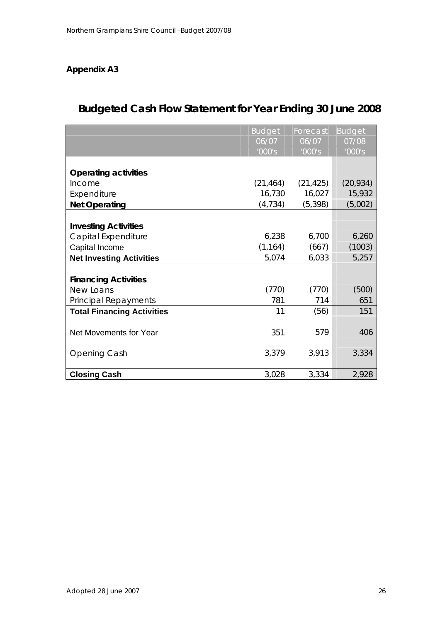## **Budgeted Cash Flow Statement for Year Ending 30 June 2008**

|                                   | <b>Budget</b> | Forecast  | <b>Budget</b> |
|-----------------------------------|---------------|-----------|---------------|
|                                   | 06/07         | 06/07     | 07/08         |
|                                   | '000's        | '000's    | '000's        |
|                                   |               |           |               |
| <b>Operating activities</b>       |               |           |               |
| Income                            | (21, 464)     | (21, 425) | (20, 934)     |
| Expenditure                       | 16,730        | 16,027    | 15,932        |
| <b>Net Operating</b>              | (4, 734)      | (5, 398)  | (5,002)       |
|                                   |               |           |               |
| <b>Investing Activities</b>       |               |           |               |
| Capital Expenditure               | 6,238         | 6,700     | 6,260         |
| Capital Income                    | (1, 164)      | (667)     | (1003)        |
| <b>Net Investing Activities</b>   | 5,074         | 6,033     | 5,257         |
|                                   |               |           |               |
| <b>Financing Activities</b>       |               |           |               |
| New Loans                         | (770)         | (770)     | (500)         |
| <b>Principal Repayments</b>       | 781           | 714       | 651           |
| <b>Total Financing Activities</b> | 11            | (56)      | 151           |
|                                   |               |           |               |
| Net Movements for Year            | 351           | 579       | 406           |
|                                   |               |           |               |
| <b>Opening Cash</b>               | 3,379         | 3,913     | 3,334         |
|                                   |               |           |               |
| <b>Closing Cash</b>               | 3,028         | 3,334     | 2,928         |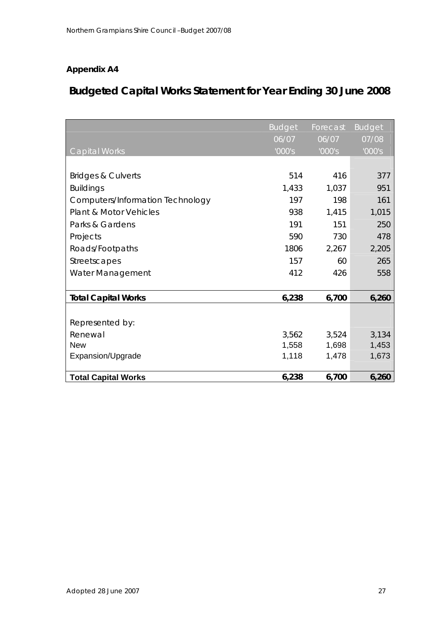## **Budgeted Capital Works Statement for Year Ending 30 June 2008**

|                                   | <b>Budget</b> | Forecast | <b>Budget</b> |
|-----------------------------------|---------------|----------|---------------|
|                                   | 06/07         | 06/07    | 07/08         |
| Capital Works                     | '000's        | '000's   | '000's        |
|                                   |               |          |               |
| <b>Bridges &amp; Culverts</b>     | 514           | 416      | 377           |
| <b>Buildings</b>                  | 1,433         | 1,037    | 951           |
| Computers/Information Technology  | 197           | 198      | 161           |
| <b>Plant &amp; Motor Vehicles</b> | 938           | 1,415    | 1,015         |
| Parks & Gardens                   | 191           | 151      | 250           |
| Projects                          | 590           | 730      | 478           |
| Roads/Footpaths                   | 1806          | 2,267    | 2,205         |
| Streetscapes                      | 157           | 60       | 265           |
| Water Management                  | 412           | 426      | 558           |
|                                   |               |          |               |
| <b>Total Capital Works</b>        | 6,238         | 6,700    | 6,260         |
|                                   |               |          |               |
| Represented by:                   |               |          |               |
| Renewal                           | 3,562         | 3,524    | 3,134         |
| <b>New</b>                        | 1,558         | 1,698    | 1,453         |
| Expansion/Upgrade                 | 1,118         | 1,478    | 1,673         |
|                                   |               |          |               |
| <b>Total Capital Works</b>        | 6,238         | 6,700    | 6,260         |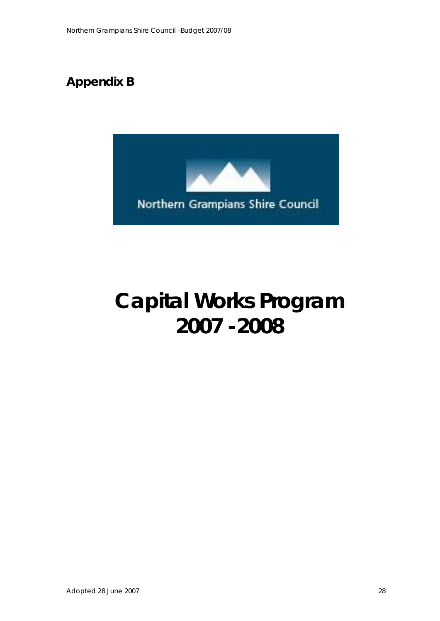## **Appendix B**



# **Capital Works Program 2007 -2008**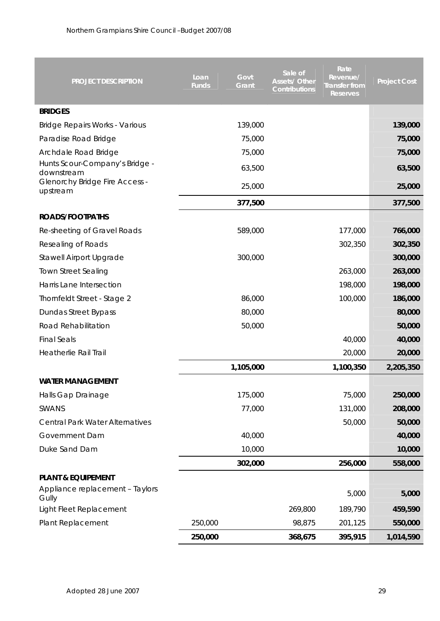| <b>PROJECT DESCRIPTION</b>                        | Loan<br>Govt<br><b>Funds</b><br>Grant | Sale of<br><b>Assets/ Other</b><br><b>Contributions</b> | Rate<br>Revenue/<br><b>Transfer from</b><br><b>Reserves</b> | <b>Project Cost</b> |
|---------------------------------------------------|---------------------------------------|---------------------------------------------------------|-------------------------------------------------------------|---------------------|
| <b>BRIDGES</b>                                    |                                       |                                                         |                                                             |                     |
| <b>Bridge Repairs Works - Various</b>             | 139,000                               |                                                         |                                                             | 139,000             |
| Paradise Road Bridge                              | 75,000                                |                                                         |                                                             | 75,000              |
| Archdale Road Bridge                              | 75,000                                |                                                         |                                                             | 75,000              |
| Hunts Scour-Company's Bridge -<br>downstream      | 63,500                                |                                                         |                                                             | 63,500              |
| <b>Glenorchy Bridge Fire Access -</b><br>upstream | 25,000                                |                                                         |                                                             | 25,000              |
|                                                   | 377,500                               |                                                         |                                                             | 377,500             |
| ROADS/FOOTPATHS                                   |                                       |                                                         |                                                             |                     |
| Re-sheeting of Gravel Roads                       | 589,000                               |                                                         | 177,000                                                     | 766,000             |
| Resealing of Roads                                |                                       |                                                         | 302,350                                                     | 302,350             |
| Stawell Airport Upgrade                           | 300,000                               |                                                         |                                                             | 300,000             |
| <b>Town Street Sealing</b>                        |                                       |                                                         | 263,000                                                     | 263,000             |
| Harris Lane Intersection                          |                                       |                                                         | 198,000                                                     | 198,000             |
| Thornfeldt Street - Stage 2                       | 86,000                                |                                                         | 100,000                                                     | 186,000             |
| Dundas Street Bypass                              | 80,000                                |                                                         |                                                             | 80,000              |
| Road Rehabilitation                               | 50,000                                |                                                         |                                                             | 50,000              |
| <b>Final Seals</b>                                |                                       |                                                         | 40,000                                                      | 40,000              |
| <b>Heatherlie Rail Trail</b>                      |                                       |                                                         | 20,000                                                      | 20,000              |
|                                                   | 1,105,000                             |                                                         | 1,100,350                                                   | 2,205,350           |
| <b>WATER MANAGEMENT</b>                           |                                       |                                                         |                                                             |                     |
| Halls Gap Drainage                                | 175,000                               |                                                         | 75,000                                                      | 250,000             |
| SWANS                                             | 77,000                                |                                                         | 131,000                                                     | 208,000             |
| <b>Central Park Water Alternatives</b>            |                                       |                                                         | 50,000                                                      | 50,000              |
| Government Dam                                    | 40,000                                |                                                         |                                                             | 40,000              |
| Duke Sand Dam                                     | 10,000                                |                                                         |                                                             | 10,000              |
|                                                   | 302,000                               |                                                         | 256,000                                                     | 558,000             |
| <b>PLANT &amp; EQUIPEMENT</b>                     |                                       |                                                         |                                                             |                     |
| Appliance replacement - Taylors<br>Gully          |                                       |                                                         | 5,000                                                       | 5,000               |
| Light Fleet Replacement                           |                                       | 269,800                                                 | 189,790                                                     | 459,590             |
| Plant Replacement                                 | 250,000                               | 98,875                                                  | 201,125                                                     | 550,000             |
|                                                   | 250,000                               | 368,675                                                 | 395,915                                                     | 1,014,590           |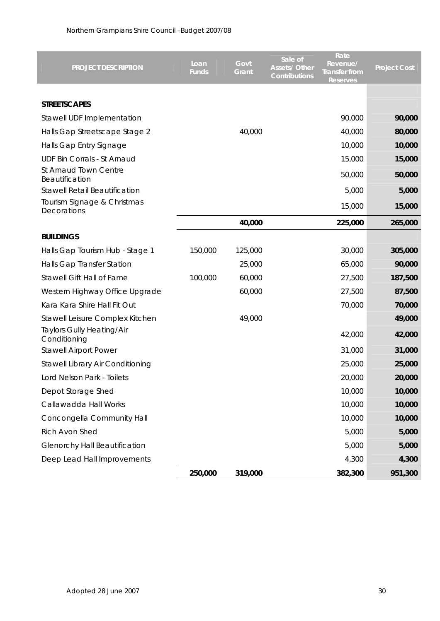| PROJECT DESCRIPTION                        | Loan<br><b>Funds</b> | Govt<br>Grant | Sale of<br><b>Assets/ Other</b><br><b>Contributions</b> | Rate<br>Revenue/<br><b>Transfer from</b><br>Reserves | <b>Project Cost</b> |
|--------------------------------------------|----------------------|---------------|---------------------------------------------------------|------------------------------------------------------|---------------------|
| <b>STREETSCAPES</b>                        |                      |               |                                                         |                                                      |                     |
| Stawell UDF Implementation                 |                      |               |                                                         | 90,000                                               | 90,000              |
| Halls Gap Streetscape Stage 2              |                      | 40,000        |                                                         | 40,000                                               | 80,000              |
| Halls Gap Entry Signage                    |                      |               |                                                         | 10,000                                               | 10,000              |
| <b>UDF Bin Corrals - St Arnaud</b>         |                      |               |                                                         | 15,000                                               | 15,000              |
| St Arnaud Town Centre<br>Beautification    |                      |               |                                                         | 50,000                                               | 50,000              |
| <b>Stawell Retail Beautification</b>       |                      |               |                                                         | 5,000                                                | 5,000               |
| Tourism Signage & Christmas<br>Decorations |                      |               |                                                         | 15,000                                               | 15,000              |
|                                            |                      | 40,000        |                                                         | 225,000                                              | 265,000             |
| <b>BUILDINGS</b>                           |                      |               |                                                         |                                                      |                     |
| Halls Gap Tourism Hub - Stage 1            | 150,000              | 125,000       |                                                         | 30,000                                               | 305,000             |
| Halls Gap Transfer Station                 |                      | 25,000        |                                                         | 65,000                                               | 90,000              |
| Stawell Gift Hall of Fame                  | 100,000              | 60,000        |                                                         | 27,500                                               | 187,500             |
| Western Highway Office Upgrade             |                      | 60,000        |                                                         | 27,500                                               | 87,500              |
| Kara Kara Shire Hall Fit Out               |                      |               |                                                         | 70,000                                               | 70,000              |
| Stawell Leisure Complex Kitchen            |                      | 49,000        |                                                         |                                                      | 49,000              |
| Taylors Gully Heating/Air<br>Conditioning  |                      |               |                                                         | 42,000                                               | 42,000              |
| <b>Stawell Airport Power</b>               |                      |               |                                                         | 31,000                                               | 31,000              |
| Stawell Library Air Conditioning           |                      |               |                                                         | 25,000                                               | 25,000              |
| Lord Nelson Park - Toilets                 |                      |               |                                                         | 20,000                                               | 20,000              |
| Depot Storage Shed                         |                      |               |                                                         | 10,000                                               | 10,000              |
| Callawadda Hall Works                      |                      |               |                                                         | 10,000                                               | 10,000              |
| Concongella Community Hall                 |                      |               |                                                         | 10,000                                               | 10,000              |
| Rich Avon Shed                             |                      |               |                                                         | 5,000                                                | 5,000               |
| Glenorchy Hall Beautification              |                      |               |                                                         | 5,000                                                | 5,000               |
| Deep Lead Hall Improvements                |                      |               |                                                         | 4,300                                                | 4,300               |
|                                            | 250,000              | 319,000       |                                                         | 382,300                                              | 951,300             |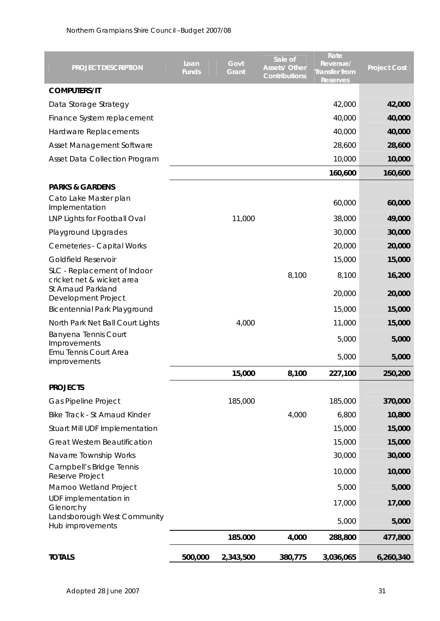| PROJECT DESCRIPTION                                      | Loan<br><b>Funds</b> | Govt<br>Grant | Sale of<br><b>Assets/ Other</b><br><b>Contributions</b> | Rate<br>Revenue/<br><b>Transfer from</b><br>Reserves | <b>Project Cost</b> |
|----------------------------------------------------------|----------------------|---------------|---------------------------------------------------------|------------------------------------------------------|---------------------|
| <b>COMPUTERS/IT</b>                                      |                      |               |                                                         |                                                      |                     |
| Data Storage Strategy                                    |                      |               |                                                         | 42,000                                               | 42,000              |
| Finance System replacement                               |                      |               |                                                         | 40,000                                               | 40,000              |
| Hardware Replacements                                    |                      |               |                                                         | 40,000                                               | 40,000              |
| Asset Management Software                                |                      |               |                                                         | 28,600                                               | 28,600              |
| <b>Asset Data Collection Program</b>                     |                      |               |                                                         | 10,000                                               | 10,000              |
|                                                          |                      |               |                                                         | 160,600                                              | 160,600             |
| <b>PARKS &amp; GARDENS</b>                               |                      |               |                                                         |                                                      |                     |
| Cato Lake Master plan<br>Implementation                  |                      |               |                                                         | 60,000                                               | 60,000              |
| LNP Lights for Football Oval                             |                      | 11,000        |                                                         | 38,000                                               | 49,000              |
| Playground Upgrades                                      |                      |               |                                                         | 30,000                                               | 30,000              |
| <b>Cemeteries - Capital Works</b>                        |                      |               |                                                         | 20,000                                               | 20,000              |
| <b>Goldfield Reservoir</b>                               |                      |               |                                                         | 15,000                                               | 15,000              |
| SLC - Replacement of Indoor<br>cricket net & wicket area |                      |               | 8,100                                                   | 8,100                                                | 16,200              |
| St Arnaud Parkland<br>Development Project                |                      |               |                                                         | 20,000                                               | 20,000              |
| <b>Bicentennial Park Playground</b>                      |                      |               |                                                         | 15,000                                               | 15,000              |
| North Park Net Ball Court Lights<br>Banyena Tennis Court |                      | 4,000         |                                                         | 11,000                                               | 15,000              |
| Improvements                                             |                      |               |                                                         | 5,000                                                | 5,000               |
| Emu Tennis Court Area<br>improvements                    |                      |               |                                                         | 5,000                                                | 5,000               |
|                                                          |                      | 15,000        | 8,100                                                   | 227,100                                              | 250,200             |
| <b>PROJECTS</b>                                          |                      |               |                                                         |                                                      |                     |
| Gas Pipeline Project                                     |                      | 185,000       |                                                         | 185,000                                              | 370,000             |
| Bike Track - St Arnaud Kinder                            |                      |               | 4,000                                                   | 6,800                                                | 10,800              |
| Stuart Mill UDF Implementation                           |                      |               |                                                         | 15,000                                               | 15,000              |
| <b>Great Western Beautification</b>                      |                      |               |                                                         | 15,000                                               | 15,000              |
| Navarre Township Works                                   |                      |               |                                                         | 30,000                                               | 30,000              |
| Campbell's Bridge Tennis<br>Reserve Project              |                      |               |                                                         | 10,000                                               | 10,000              |
| Marnoo Wetland Project                                   |                      |               |                                                         | 5,000                                                | 5,000               |
| UDF implementation in<br>Glenorchy                       |                      |               |                                                         | 17,000                                               | 17,000              |
| Landsborough West Community<br>Hub improvements          |                      |               |                                                         | 5,000                                                | 5,000               |
|                                                          |                      | 185.000       | 4,000                                                   | 288,800                                              | 477,800             |
| <b>TOTALS</b>                                            | 500,000              | 2,343,500     | 380,775                                                 | 3,036,065                                            | 6,260,340           |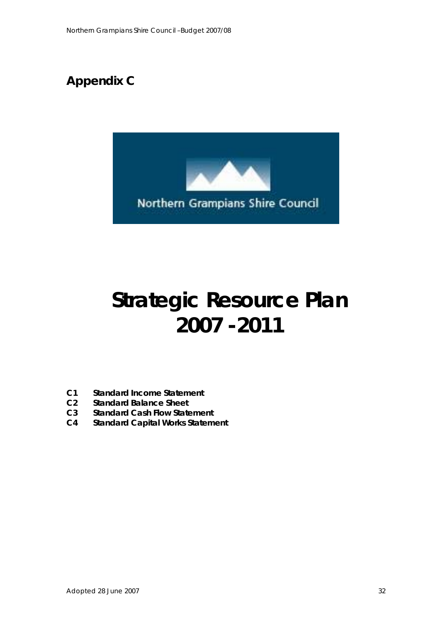

# **Strategic Resource Plan 2007 -2011**

- **C1 Standard Income Statement**
- **C2 Standard Balance Sheet**
- **C3 Standard Cash Flow Statement**
- **C4 Standard Capital Works Statement**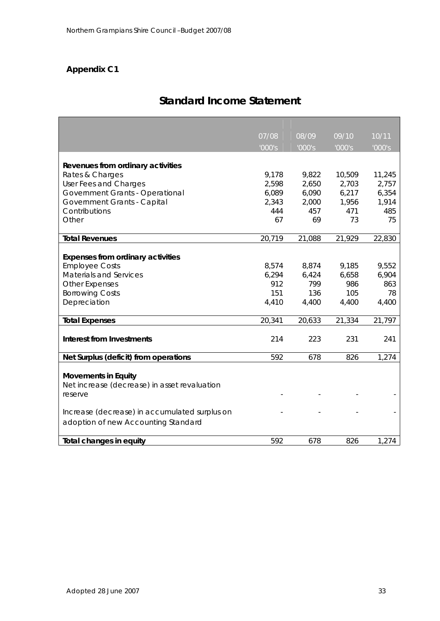## **Standard Income Statement**

|                                               | 07/08  | 08/09  | 09/10  | 10/11  |
|-----------------------------------------------|--------|--------|--------|--------|
|                                               | '000's | '000's | '000's | '000's |
|                                               |        |        |        |        |
| Revenues from ordinary activities             |        |        |        |        |
| Rates & Charges                               | 9,178  | 9,822  | 10,509 | 11,245 |
| User Fees and Charges                         | 2,598  | 2,650  | 2,703  | 2,757  |
| Government Grants - Operational               | 6,089  | 6,090  | 6,217  | 6,354  |
| Government Grants - Capital                   | 2,343  | 2,000  | 1,956  | 1,914  |
| Contributions                                 | 444    | 457    | 471    | 485    |
| Other                                         | 67     | 69     | 73     | 75     |
| <b>Total Revenues</b>                         | 20,719 | 21,088 | 21,929 | 22,830 |
|                                               |        |        |        |        |
| <b>Expenses from ordinary activities</b>      |        |        |        |        |
| <b>Employee Costs</b>                         | 8,574  | 8,874  | 9,185  | 9,552  |
| <b>Materials and Services</b>                 | 6,294  | 6,424  | 6,658  | 6,904  |
| <b>Other Expenses</b>                         | 912    | 799    | 986    | 863    |
| <b>Borrowing Costs</b>                        | 151    | 136    | 105    | 78     |
| Depreciation                                  | 4,410  | 4,400  | 4,400  | 4,400  |
| <b>Total Expenses</b>                         | 20,341 | 20,633 | 21,334 | 21,797 |
|                                               |        |        |        |        |
| <b>Interest from Investments</b>              | 214    | 223    | 231    | 241    |
| Net Surplus (deficit) from operations         | 592    | 678    | 826    | 1,274  |
|                                               |        |        |        |        |
| <b>Movements in Equity</b>                    |        |        |        |        |
| Net increase (decrease) in asset revaluation  |        |        |        |        |
| reserve                                       |        |        |        |        |
|                                               |        |        |        |        |
| Increase (decrease) in accumulated surplus on |        |        |        |        |
| adoption of new Accounting Standard           |        |        |        |        |
|                                               |        |        |        |        |
| <b>Total changes in equity</b>                | 592    | 678    | 826    | 1,274  |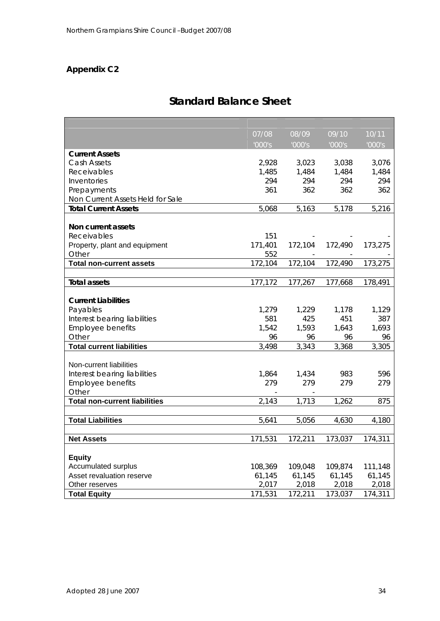## **Standard Balance Sheet**

|                                               | 07/08   | 08/09   | 09/10   | 10/11   |
|-----------------------------------------------|---------|---------|---------|---------|
|                                               | '000's  | '000's  | '000's  | '000's  |
| <b>Current Assets</b>                         |         |         |         |         |
| Cash Assets                                   | 2,928   | 3,023   | 3,038   | 3,076   |
| Receivables                                   | 1,485   | 1,484   | 1,484   | 1,484   |
| Inventories                                   | 294     | 294     | 294     | 294     |
| Prepayments                                   | 361     | 362     | 362     | 362     |
| Non Current Assets Held for Sale              |         |         |         |         |
| <b>Total Current Assets</b>                   | 5,068   | 5,163   | 5,178   | 5,216   |
|                                               |         |         |         |         |
| Non current assets                            |         |         |         |         |
| Receivables                                   | 151     |         |         |         |
| Property, plant and equipment                 | 171,401 | 172,104 | 172,490 | 173,275 |
| Other                                         | 552     |         |         |         |
| <b>Total non-current assets</b>               | 172,104 | 172,104 | 172,490 | 173,275 |
|                                               |         |         |         |         |
| <b>Total assets</b>                           | 177,172 | 177,267 | 177,668 | 178,491 |
|                                               |         |         |         |         |
| <b>Current Liabilities</b>                    |         |         |         |         |
| Payables                                      | 1,279   | 1,229   | 1,178   | 1,129   |
| Interest bearing liabilities                  | 581     | 425     | 451     | 387     |
| <b>Employee benefits</b>                      | 1,542   | 1,593   | 1.643   | 1,693   |
| Other                                         | 96      | 96      | 96      | 96      |
| <b>Total current liabilities</b>              | 3,498   | 3,343   | 3,368   | 3,305   |
|                                               |         |         |         |         |
| Non-current liabilities                       |         |         |         |         |
| Interest bearing liabilities                  | 1,864   | 1,434   | 983     | 596     |
| <b>Employee benefits</b>                      | 279     | 279     | 279     | 279     |
| Other<br><b>Total non-current liabilities</b> |         | 1,713   | 1,262   | 875     |
|                                               | 2,143   |         |         |         |
| <b>Total Liabilities</b>                      | 5,641   | 5,056   | 4,630   |         |
|                                               |         |         |         | 4,180   |
| <b>Net Assets</b>                             | 171,531 | 172,211 | 173,037 | 174,311 |
|                                               |         |         |         |         |
| <b>Equity</b>                                 |         |         |         |         |
| Accumulated surplus                           | 108,369 | 109,048 | 109,874 | 111,148 |
| Asset revaluation reserve                     | 61,145  | 61,145  | 61,145  | 61,145  |
| Other reserves                                | 2,017   | 2,018   | 2,018   | 2,018   |
| <b>Total Equity</b>                           | 171,531 | 172,211 | 173,037 | 174,311 |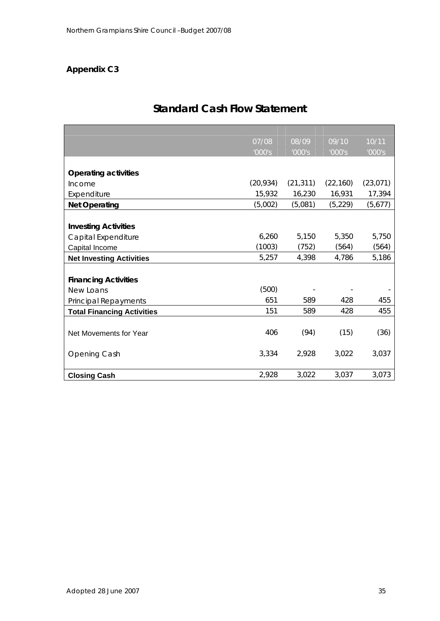|                                   | 07/08     | 08/09     | 09/10     | 10/11     |
|-----------------------------------|-----------|-----------|-----------|-----------|
|                                   | '000's    | '000's    | '000's    | '000's    |
|                                   |           |           |           |           |
| <b>Operating activities</b>       |           |           |           |           |
| Income                            | (20, 934) | (21, 311) | (22, 160) | (23, 071) |
| Expenditure                       | 15,932    | 16,230    | 16,931    | 17,394    |
| <b>Net Operating</b>              | (5,002)   | (5,081)   | (5, 229)  | (5,677)   |
|                                   |           |           |           |           |
| <b>Investing Activities</b>       |           |           |           |           |
| Capital Expenditure               | 6,260     | 5,150     | 5,350     | 5,750     |
| Capital Income                    | (1003)    | (752)     | (564)     | (564)     |
| <b>Net Investing Activities</b>   | 5,257     | 4,398     | 4,786     | 5,186     |
|                                   |           |           |           |           |
| <b>Financing Activities</b>       |           |           |           |           |
| New Loans                         | (500)     |           |           |           |
| Principal Repayments              | 651       | 589       | 428       | 455       |
| <b>Total Financing Activities</b> | 151       | 589       | 428       | 455       |
|                                   |           |           |           |           |
| Net Movements for Year            | 406       | (94)      | (15)      | (36)      |
|                                   |           |           |           |           |
| Opening Cash                      | 3,334     | 2,928     | 3,022     | 3,037     |
|                                   |           |           |           |           |
| <b>Closing Cash</b>               | 2,928     | 3,022     | 3,037     | 3,073     |

## **Standard Cash Flow Statement**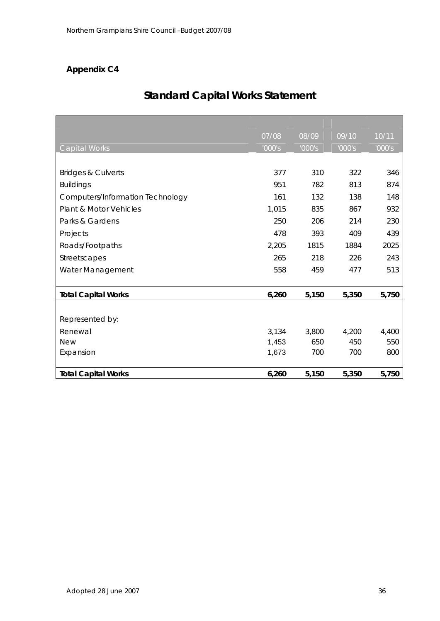## **Standard Capital Works Statement**

|                                   | 07/08  | 08/09  | 09/10  | 10/11  |
|-----------------------------------|--------|--------|--------|--------|
| Capital Works                     | '000's | '000's | '000's | '000's |
|                                   |        |        |        |        |
| <b>Bridges &amp; Culverts</b>     | 377    | 310    | 322    | 346    |
| <b>Buildings</b>                  | 951    | 782    | 813    | 874    |
| Computers/Information Technology  | 161    | 132    | 138    | 148    |
| <b>Plant &amp; Motor Vehicles</b> | 1,015  | 835    | 867    | 932    |
| Parks & Gardens                   | 250    | 206    | 214    | 230    |
| Projects                          | 478    | 393    | 409    | 439    |
| Roads/Footpaths                   | 2,205  | 1815   | 1884   | 2025   |
| Streetscapes                      | 265    | 218    | 226    | 243    |
| Water Management                  | 558    | 459    | 477    | 513    |
|                                   |        |        |        |        |
| <b>Total Capital Works</b>        | 6,260  | 5,150  | 5,350  | 5,750  |
|                                   |        |        |        |        |
| Represented by:                   |        |        |        |        |
| Renewal                           | 3,134  | 3,800  | 4,200  | 4,400  |
| <b>New</b>                        | 1,453  | 650    | 450    | 550    |
| Expansion                         | 1,673  | 700    | 700    | 800    |
|                                   |        |        |        |        |
| <b>Total Capital Works</b>        | 6,260  | 5,150  | 5,350  | 5,750  |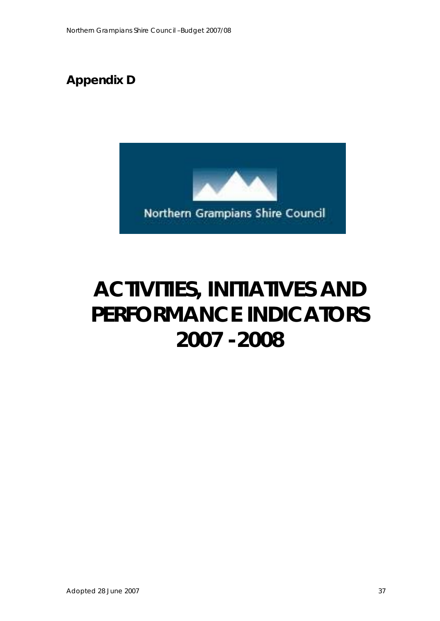## **Appendix D**



# **ACTIVITIES, INITIATIVES AND PERFORMANCE INDICATORS 2007 -2008**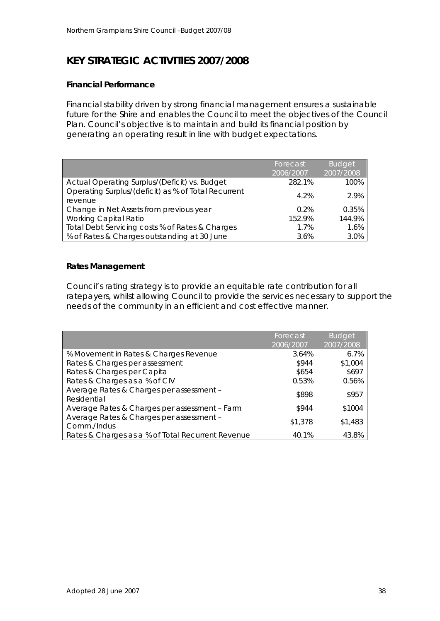## **KEY STRATEGIC ACTIVITIES 2007/2008**

### **Financial Performance**

Financial stability driven by strong financial management ensures a sustainable future for the Shire and enables the Council to meet the objectives of the Council Plan. Council's objective is to maintain and build its financial position by generating an operating result in line with budget expectations.

|                                                                | Forecast<br>2006/2007 | <b>Budget</b><br>2007/2008 |
|----------------------------------------------------------------|-----------------------|----------------------------|
| Actual Operating Surplus/(Deficit) vs. Budget                  | 282.1%                | 100%                       |
| Operating Surplus/(deficit) as % of Total Recurrent<br>revenue | 4.2%                  | 2.9%                       |
| Change in Net Assets from previous year                        | 0.2%                  | 0.35%                      |
| <b>Working Capital Ratio</b>                                   | 152.9%                | 144.9%                     |
| Total Debt Servicing costs % of Rates & Charges                | 1.7%                  | 1.6%                       |
| % of Rates & Charges outstanding at 30 June                    | 3.6%                  | 3.0%                       |

### **Rates Management**

Council's rating strategy is to provide an equitable rate contribution for all ratepayers, whilst allowing Council to provide the services necessary to support the needs of the community in an efficient and cost effective manner.

|                                                   | Forecast  | <b>Budget</b> |
|---------------------------------------------------|-----------|---------------|
|                                                   | 2006/2007 | 2007/2008     |
| % Movement in Rates & Charges Revenue             | 3.64%     | 6.7%          |
| Rates & Charges per assessment                    | \$944     | \$1,004       |
| Rates & Charges per Capita                        | \$654     | \$697         |
| Rates & Charges as a % of CIV                     | 0.53%     | 0.56%         |
| Average Rates & Charges per assessment -          | \$898     | \$957         |
| Residential                                       |           |               |
| Average Rates & Charges per assessment - Farm     | \$944     | \$1004        |
| Average Rates & Charges per assessment -          | \$1,378   | \$1,483       |
| Comm./Indus                                       |           |               |
| Rates & Charges as a % of Total Recurrent Revenue | 40.1%     | 43.8%         |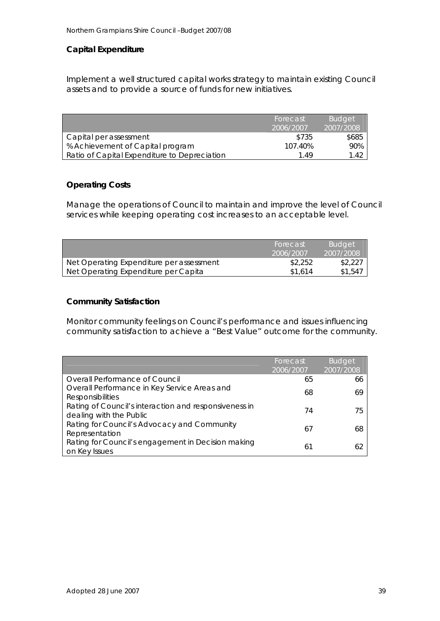### **Capital Expenditure**

Implement a well structured capital works strategy to maintain existing Council assets and to provide a source of funds for new initiatives.

|                                              | Forecast<br>2006/2007 | <b>Budget</b><br>2007/2008 |
|----------------------------------------------|-----------------------|----------------------------|
| Capital per assessment                       | \$735                 | \$685                      |
| % Achievement of Capital program             | 107.40%               | 90%                        |
| Ratio of Capital Expenditure to Depreciation | 1 49                  | 1.42                       |

#### **Operating Costs**

Manage the operations of Council to maintain and improve the level of Council services while keeping operating cost increases to an acceptable level.

|                                          | Forecast  | <b>Budget</b> |
|------------------------------------------|-----------|---------------|
|                                          | 2006/2007 | 2007/2008     |
| Net Operating Expenditure per assessment | \$2,252   | \$2,227       |
| Net Operating Expenditure per Capita     | \$1.614   | \$1,547       |

#### **Community Satisfaction**

Monitor community feelings on Council's performance and issues influencing community satisfaction to achieve a "Best Value" outcome for the community.

|                                                       | Forecast  | <b>Budget</b> |
|-------------------------------------------------------|-----------|---------------|
|                                                       | 2006/2007 | 2007/2008     |
| Overall Performance of Council                        | 65        | 66            |
| Overall Performance in Key Service Areas and          | 68        | 69            |
| <b>Responsibilities</b>                               |           |               |
| Rating of Council's interaction and responsiveness in | 74        | 75            |
| dealing with the Public                               |           |               |
| Rating for Council's Advocacy and Community           | 67        | 68            |
| Representation                                        |           |               |
| Rating for Council's engagement in Decision making    | 61        | 62            |
| on Key Issues                                         |           |               |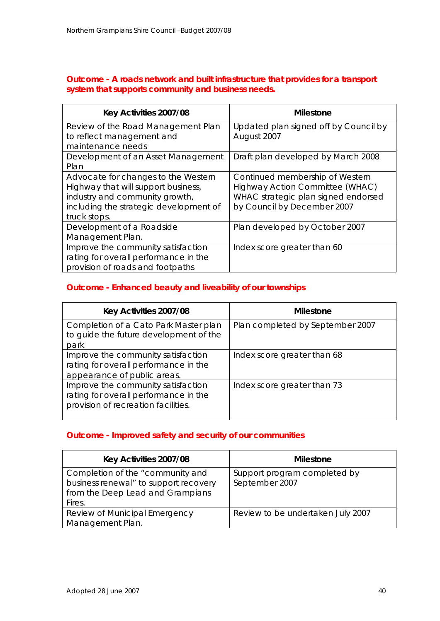### **Outcome - A roads network and built infrastructure that provides for a transport system that supports community and business needs.**

| Key Activities 2007/08                 | <b>Milestone</b>                      |
|----------------------------------------|---------------------------------------|
| Review of the Road Management Plan     | Updated plan signed off by Council by |
| to reflect management and              | August 2007                           |
| maintenance needs                      |                                       |
| Development of an Asset Management     | Draft plan developed by March 2008    |
| Plan                                   |                                       |
| Advocate for changes to the Western    | Continued membership of Western       |
| Highway that will support business,    | Highway Action Committee (WHAC)       |
| industry and community growth,         | WHAC strategic plan signed endorsed   |
| including the strategic development of | by Council by December 2007           |
| truck stops.                           |                                       |
| Development of a Roadside              | Plan developed by October 2007        |
| Management Plan.                       |                                       |
| Improve the community satisfaction     | Index score greater than 60           |
| rating for overall performance in the  |                                       |
| provision of roads and footpaths       |                                       |

## **Outcome - Enhanced beauty and liveability of our townships**

| Key Activities 2007/08                                                                                             | <b>Milestone</b>                 |
|--------------------------------------------------------------------------------------------------------------------|----------------------------------|
| Completion of a Cato Park Master plan<br>to guide the future development of the<br>park                            | Plan completed by September 2007 |
| Improve the community satisfaction<br>rating for overall performance in the<br>appearance of public areas.         | Index score greater than 68      |
| Improve the community satisfaction<br>rating for overall performance in the<br>provision of recreation facilities. | Index score greater than 73      |

## **Outcome - Improved safety and security of our communities**

| Key Activities 2007/08                | <b>Milestone</b>                  |
|---------------------------------------|-----------------------------------|
| Completion of the "community and      | Support program completed by      |
| business renewal" to support recovery | September 2007                    |
| from the Deep Lead and Grampians      |                                   |
| Fires.                                |                                   |
| Review of Municipal Emergency         | Review to be undertaken July 2007 |
| Management Plan.                      |                                   |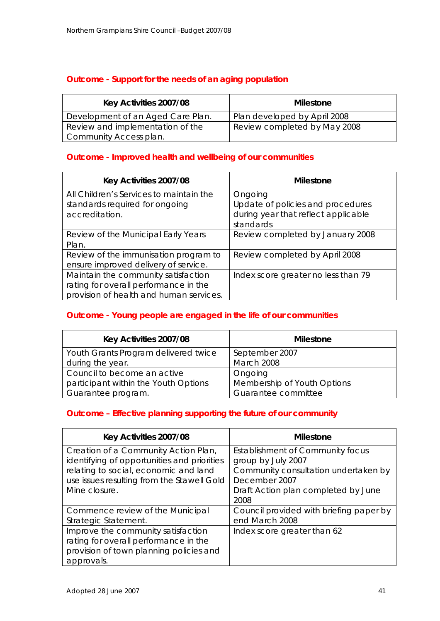## **Outcome - Support for the needs of an aging population**

| Key Activities 2007/08            | Milestone                    |
|-----------------------------------|------------------------------|
| Development of an Aged Care Plan. | Plan developed by April 2008 |
| Review and implementation of the  | Review completed by May 2008 |
| Community Access plan.            |                              |

### **Outcome - Improved health and wellbeing of our communities**

| Key Activities 2007/08                                                                                                  | <b>Milestone</b>                                                                                 |
|-------------------------------------------------------------------------------------------------------------------------|--------------------------------------------------------------------------------------------------|
| All Children's Services to maintain the<br>standards required for ongoing<br>accreditation.                             | Ongoing<br>Update of policies and procedures<br>during year that reflect applicable<br>standards |
| Review of the Municipal Early Years<br>Plan.                                                                            | Review completed by January 2008                                                                 |
| Review of the immunisation program to<br>ensure improved delivery of service.                                           | Review completed by April 2008                                                                   |
| Maintain the community satisfaction<br>rating for overall performance in the<br>provision of health and human services. | Index score greater no less than 79                                                              |

## **Outcome - Young people are engaged in the life of our communities**

| Key Activities 2007/08               | <b>Milestone</b>            |
|--------------------------------------|-----------------------------|
| Youth Grants Program delivered twice | September 2007              |
| during the year.                     | <b>March 2008</b>           |
| Council to become an active          | Ongoing                     |
| participant within the Youth Options | Membership of Youth Options |
| Guarantee program.                   | Guarantee committee         |

#### **Outcome – Effective planning supporting the future of our community**

| Key Activities 2007/08                                                                                                                                                                      | <b>Milestone</b>                                                                                                                                               |
|---------------------------------------------------------------------------------------------------------------------------------------------------------------------------------------------|----------------------------------------------------------------------------------------------------------------------------------------------------------------|
| Creation of a Community Action Plan,<br>identifying of opportunities and priorities<br>relating to social, economic and land<br>use issues resulting from the Stawell Gold<br>Mine closure. | Establishment of Community focus<br>group by July 2007<br>Community consultation undertaken by<br>December 2007<br>Draft Action plan completed by June<br>2008 |
| Commence review of the Municipal<br>Strategic Statement.                                                                                                                                    | Council provided with briefing paper by<br>end March 2008                                                                                                      |
| Improve the community satisfaction<br>rating for overall performance in the<br>provision of town planning policies and<br>approvals.                                                        | Index score greater than 62                                                                                                                                    |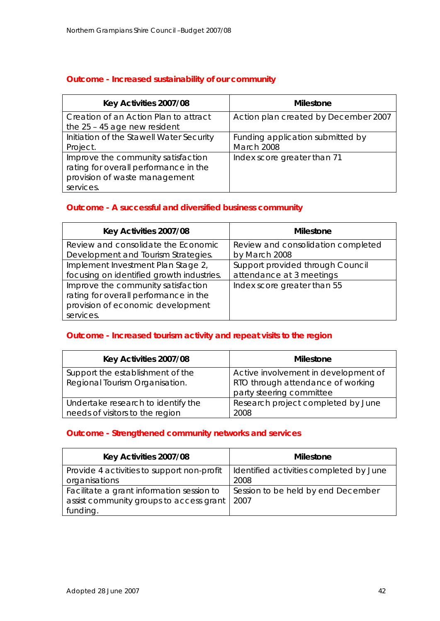## **Outcome - Increased sustainability of our community**

| Key Activities 2007/08                                                                                                    | <b>Milestone</b>                               |
|---------------------------------------------------------------------------------------------------------------------------|------------------------------------------------|
| Creation of an Action Plan to attract<br>the $25 - 45$ age new resident                                                   | Action plan created by December 2007           |
| Initiation of the Stawell Water Security<br>Project.                                                                      | Funding application submitted by<br>March 2008 |
| Improve the community satisfaction<br>rating for overall performance in the<br>provision of waste management<br>services. | Index score greater than 71                    |

## **Outcome - A successful and diversified business community**

| Key Activities 2007/08                    | <b>Milestone</b>                   |
|-------------------------------------------|------------------------------------|
| Review and consolidate the Economic       | Review and consolidation completed |
| Development and Tourism Strategies.       | by March 2008                      |
| Implement Investment Plan Stage 2,        | Support provided through Council   |
| focusing on identified growth industries. | attendance at 3 meetings           |
| Improve the community satisfaction        | Index score greater than 55        |
| rating for overall performance in the     |                                    |
| provision of economic development         |                                    |
| services.                                 |                                    |

## **Outcome - Increased tourism activity and repeat visits to the region**

| Key Activities 2007/08             | <b>Milestone</b>                     |
|------------------------------------|--------------------------------------|
| Support the establishment of the   | Active involvement in development of |
| Regional Tourism Organisation.     | RTO through attendance of working    |
|                                    | party steering committee             |
| Undertake research to identify the | Research project completed by June   |
| needs of visitors to the region    | 2008                                 |

## **Outcome - Strengthened community networks and services**

| Key Activities 2007/08                     | <b>Milestone</b>                        |
|--------------------------------------------|-----------------------------------------|
| Provide 4 activities to support non-profit | Identified activities completed by June |
| organisations                              | 2008                                    |
| Facilitate a grant information session to  | Session to be held by end December      |
| assist community groups to access grant    | 2007                                    |
| funding.                                   |                                         |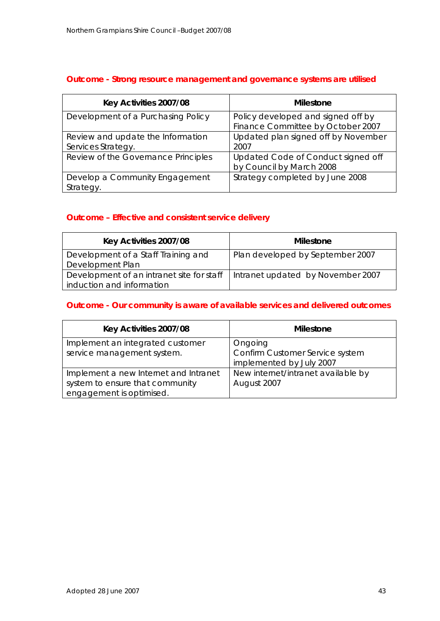## **Outcome - Strong resource management and governance systems are utilised**

| Key Activities 2007/08                                  | <b>Milestone</b>                                                        |
|---------------------------------------------------------|-------------------------------------------------------------------------|
| Development of a Purchasing Policy                      | Policy developed and signed off by<br>Finance Committee by October 2007 |
| Review and update the Information<br>Services Strategy. | Updated plan signed off by November<br>2007                             |
| Review of the Governance Principles                     | Updated Code of Conduct signed off<br>by Council by March 2008          |
| Develop a Community Engagement<br>Strategy.             | Strategy completed by June 2008                                         |

## **Outcome – Effective and consistent service delivery**

| Key Activities 2007/08                                                 | <b>Milestone</b>                  |
|------------------------------------------------------------------------|-----------------------------------|
| Development of a Staff Training and<br>Development Plan                | Plan developed by September 2007  |
| Development of an intranet site for staff<br>induction and information | Intranet updated by November 2007 |

## **Outcome - Our community is aware of available services and delivered outcomes**

| Key Activities 2007/08                | <b>Milestone</b>                   |
|---------------------------------------|------------------------------------|
| Implement an integrated customer      | Ongoing                            |
| service management system.            | Confirm Customer Service system    |
|                                       | implemented by July 2007           |
| Implement a new Internet and Intranet | New internet/intranet available by |
| system to ensure that community       | August 2007                        |
| engagement is optimised.              |                                    |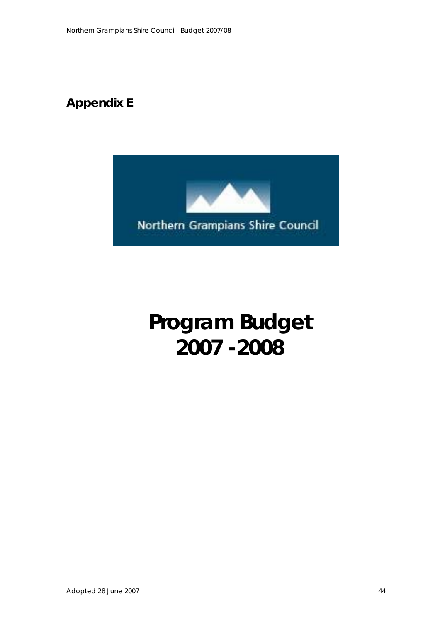## **Appendix E**



# **Program Budget 2007 -2008**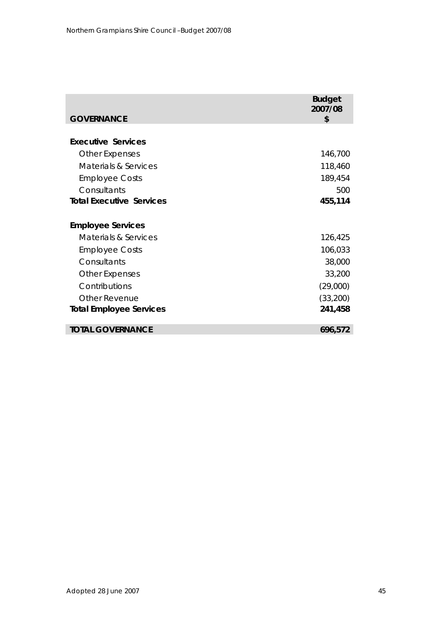|                                                                                                     | <b>Budget</b><br>2007/08      |
|-----------------------------------------------------------------------------------------------------|-------------------------------|
| <b>GOVERNANCE</b>                                                                                   | \$                            |
| <b>Executive Services</b><br><b>Other Expenses</b><br>Materials & Services<br><b>Employee Costs</b> | 146,700<br>118,460<br>189,454 |
| Consultants                                                                                         | 500                           |
| <b>Total Executive Services</b>                                                                     | 455,114                       |
| <b>Employee Services</b>                                                                            |                               |
| Materials & Services                                                                                | 126,425                       |
| <b>Employee Costs</b>                                                                               | 106,033                       |
| Consultants                                                                                         | 38,000                        |
| <b>Other Expenses</b>                                                                               | 33,200                        |
| Contributions                                                                                       | (29,000)                      |
| <b>Other Revenue</b>                                                                                | (33,200)                      |
| <b>Total Employee Services</b>                                                                      | 241,458                       |
| <b>TOTAL GOVERNANCE</b>                                                                             | 696,572                       |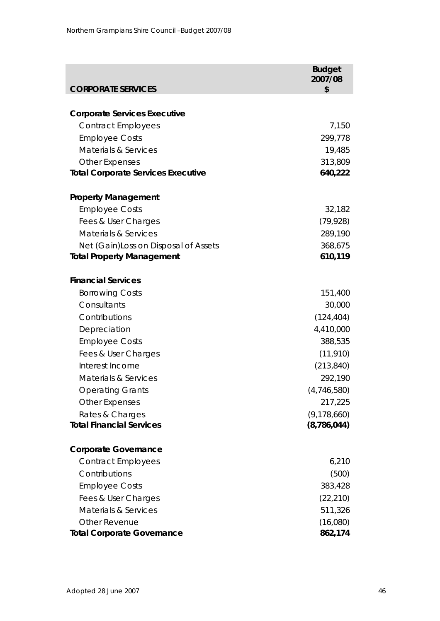| <b>CORPORATE SERVICES</b>                 | <b>Budget</b><br>2007/08<br>\$ |
|-------------------------------------------|--------------------------------|
|                                           |                                |
| <b>Corporate Services Executive</b>       |                                |
| <b>Contract Employees</b>                 | 7,150                          |
| <b>Employee Costs</b>                     | 299,778                        |
| <b>Materials &amp; Services</b>           | 19,485                         |
| <b>Other Expenses</b>                     | 313,809                        |
| <b>Total Corporate Services Executive</b> | 640,222                        |
| <b>Property Management</b>                |                                |
| <b>Employee Costs</b>                     | 32,182                         |
| Fees & User Charges                       | (79, 928)                      |
| <b>Materials &amp; Services</b>           | 289,190                        |
| Net (Gain) Loss on Disposal of Assets     | 368,675                        |
| <b>Total Property Management</b>          | 610,119                        |
| <b>Financial Services</b>                 |                                |
| <b>Borrowing Costs</b>                    | 151,400                        |
| Consultants                               | 30,000                         |
| Contributions                             | (124, 404)                     |
| Depreciation                              | 4,410,000                      |
| <b>Employee Costs</b>                     | 388,535                        |
| Fees & User Charges                       | (11, 910)                      |
| Interest Income                           | (213, 840)                     |
| <b>Materials &amp; Services</b>           | 292,190                        |
| <b>Operating Grants</b>                   | (4,746,580)                    |
| <b>Other Expenses</b>                     | 217,225                        |
| Rates & Charges                           | (9, 178, 660)                  |
| <b>Total Financial Services</b>           | (8, 786, 044)                  |
| <b>Corporate Governance</b>               |                                |
| <b>Contract Employees</b>                 | 6,210                          |
| Contributions                             | (500)                          |
| <b>Employee Costs</b>                     | 383,428                        |
| Fees & User Charges                       | (22, 210)                      |
| <b>Materials &amp; Services</b>           | 511,326                        |
| <b>Other Revenue</b>                      | (16,080)                       |
| <b>Total Corporate Governance</b>         | 862,174                        |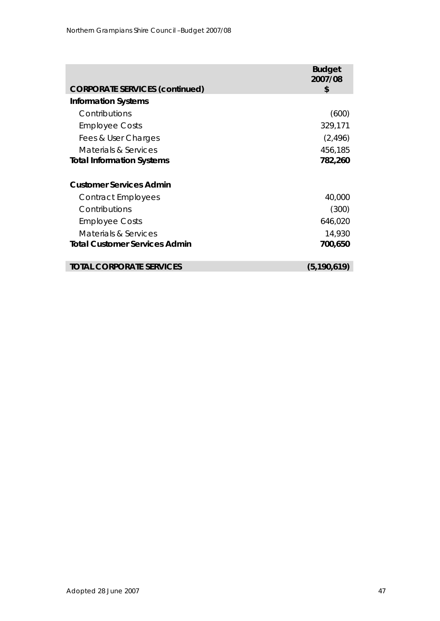|                                       | <b>Budget</b><br>2007/08 |
|---------------------------------------|--------------------------|
| <b>CORPORATE SERVICES (continued)</b> | \$                       |
| <b>Information Systems</b>            |                          |
| Contributions                         | (600)                    |
| <b>Employee Costs</b>                 | 329,171                  |
| Fees & User Charges                   | (2, 496)                 |
| Materials & Services                  | 456,185                  |
| <b>Total Information Systems</b>      | 782,260                  |
| <b>Customer Services Admin</b>        |                          |
|                                       |                          |
| Contract Employees                    | 40,000                   |
| Contributions                         | (300)                    |
| <b>Employee Costs</b>                 | 646,020                  |
| Materials & Services                  | 14,930                   |
| <b>Total Customer Services Admin</b>  | 700,650                  |
|                                       |                          |
| TOTAL CORPORATE SERVICES              | (5, 190, 619)            |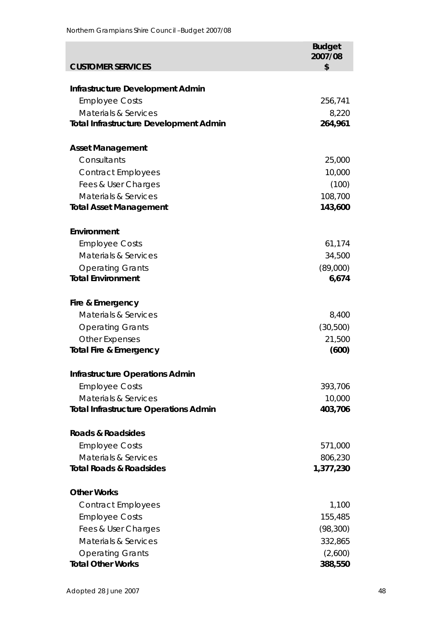| <b>CUSTOMER SERVICES</b>                      | <b>Budget</b><br>2007/08<br>\$ |
|-----------------------------------------------|--------------------------------|
|                                               |                                |
| Infrastructure Development Admin              |                                |
| <b>Employee Costs</b>                         | 256,741                        |
| <b>Materials &amp; Services</b>               | 8,220                          |
| <b>Total Infrastructure Development Admin</b> | 264,961                        |
| <b>Asset Management</b>                       |                                |
| Consultants                                   | 25,000                         |
| <b>Contract Employees</b>                     | 10,000                         |
| Fees & User Charges                           | (100)                          |
| <b>Materials &amp; Services</b>               | 108,700                        |
| <b>Total Asset Management</b>                 | 143,600                        |
| Environment                                   |                                |
| <b>Employee Costs</b>                         | 61,174                         |
| <b>Materials &amp; Services</b>               | 34,500                         |
| <b>Operating Grants</b>                       | (89,000)                       |
| <b>Total Environment</b>                      | 6,674                          |
| Fire & Emergency                              |                                |
| <b>Materials &amp; Services</b>               | 8,400                          |
| <b>Operating Grants</b>                       | (30,500)                       |
| <b>Other Expenses</b>                         | 21,500                         |
| <b>Total Fire &amp; Emergency</b>             | (600)                          |
| <b>Infrastructure Operations Admin</b>        |                                |
| <b>Employee Costs</b>                         | 393,706                        |
| <b>Materials &amp; Services</b>               | 10,000                         |
| <b>Total Infrastructure Operations Admin</b>  | 403,706                        |
| <b>Roads &amp; Roadsides</b>                  |                                |
| <b>Employee Costs</b>                         | 571,000                        |
| <b>Materials &amp; Services</b>               | 806,230                        |
| <b>Total Roads &amp; Roadsides</b>            | 1,377,230                      |
| <b>Other Works</b>                            |                                |
| <b>Contract Employees</b>                     | 1,100                          |
| <b>Employee Costs</b>                         | 155,485                        |
| Fees & User Charges                           | (98, 300)                      |
| <b>Materials &amp; Services</b>               | 332,865                        |
| <b>Operating Grants</b>                       | (2,600)                        |
| <b>Total Other Works</b>                      | 388,550                        |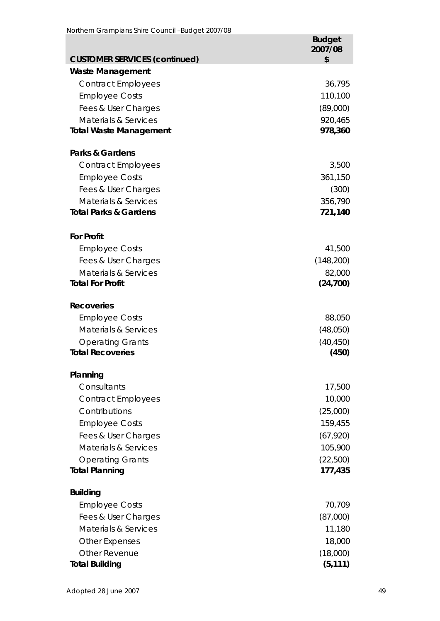|                                                                  | <b>Budget</b><br>2007/08 |
|------------------------------------------------------------------|--------------------------|
| <b>CUSTOMER SERVICES (continued)</b>                             | \$                       |
| <b>Waste Management</b>                                          |                          |
| <b>Contract Employees</b>                                        | 36,795                   |
| <b>Employee Costs</b>                                            | 110,100                  |
| Fees & User Charges                                              | (89,000)                 |
| <b>Materials &amp; Services</b><br><b>Total Waste Management</b> | 920,465<br>978,360       |
|                                                                  |                          |
| <b>Parks &amp; Gardens</b>                                       |                          |
| <b>Contract Employees</b>                                        | 3,500                    |
| <b>Employee Costs</b>                                            | 361,150                  |
| Fees & User Charges                                              | (300)                    |
| <b>Materials &amp; Services</b>                                  | 356,790                  |
| <b>Total Parks &amp; Gardens</b>                                 | 721,140                  |
|                                                                  |                          |
| <b>For Profit</b>                                                |                          |
| <b>Employee Costs</b>                                            | 41,500                   |
| Fees & User Charges                                              | (148, 200)               |
| <b>Materials &amp; Services</b><br><b>Total For Profit</b>       | 82,000<br>(24, 700)      |
|                                                                  |                          |
| <b>Recoveries</b>                                                |                          |
| <b>Employee Costs</b>                                            | 88,050                   |
| <b>Materials &amp; Services</b>                                  | (48,050)                 |
| <b>Operating Grants</b>                                          | (40, 450)                |
| <b>Total Recoveries</b>                                          | (450)                    |
| Planning                                                         |                          |
| Consultants                                                      | 17,500                   |
| <b>Contract Employees</b>                                        | 10,000                   |
| Contributions                                                    | (25,000)                 |
| <b>Employee Costs</b>                                            | 159,455                  |
| Fees & User Charges                                              | (67, 920)                |
| <b>Materials &amp; Services</b>                                  | 105,900                  |
| <b>Operating Grants</b>                                          | (22,500)                 |
| <b>Total Planning</b>                                            | 177,435                  |
|                                                                  |                          |
| <b>Building</b>                                                  |                          |
| <b>Employee Costs</b>                                            | 70,709                   |
| Fees & User Charges                                              | (87,000)                 |
| <b>Materials &amp; Services</b>                                  | 11,180                   |
| <b>Other Expenses</b><br><b>Other Revenue</b>                    | 18,000                   |
| <b>Total Building</b>                                            | (18,000)<br>(5, 111)     |
|                                                                  |                          |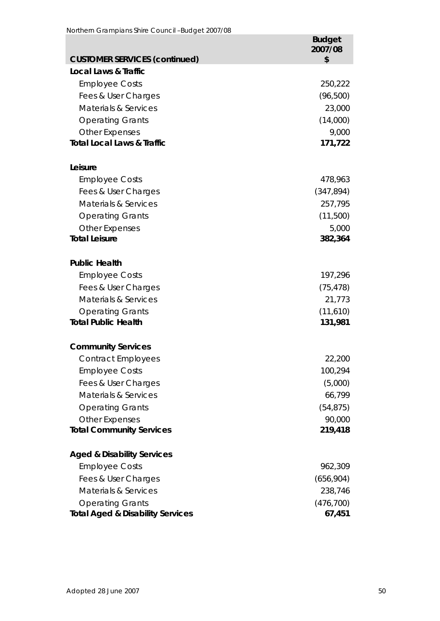|                                             | <b>Budget</b><br>2007/08 |
|---------------------------------------------|--------------------------|
| <b>CUSTOMER SERVICES (continued)</b>        | \$                       |
| <b>Local Laws &amp; Traffic</b>             |                          |
| <b>Employee Costs</b>                       | 250,222                  |
| Fees & User Charges                         | (96, 500)                |
| Materials & Services                        | 23,000                   |
| <b>Operating Grants</b>                     | (14,000)                 |
| <b>Other Expenses</b>                       | 9,000                    |
| <b>Total Local Laws &amp; Traffic</b>       | 171,722                  |
| Leisure                                     |                          |
| <b>Employee Costs</b>                       | 478,963                  |
| Fees & User Charges                         | (347, 894)               |
| <b>Materials &amp; Services</b>             | 257,795                  |
| <b>Operating Grants</b>                     | (11,500)                 |
| <b>Other Expenses</b>                       | 5,000                    |
| <b>Total Leisure</b>                        | 382,364                  |
| <b>Public Health</b>                        |                          |
| <b>Employee Costs</b>                       | 197,296                  |
| Fees & User Charges                         | (75, 478)                |
| <b>Materials &amp; Services</b>             | 21,773                   |
| <b>Operating Grants</b>                     | (11,610)                 |
| <b>Total Public Health</b>                  | 131,981                  |
| <b>Community Services</b>                   |                          |
| <b>Contract Employees</b>                   | 22,200                   |
| <b>Employee Costs</b>                       | 100,294                  |
| Fees & User Charges                         | (5,000)                  |
| Materials & Services                        | 66,799                   |
| <b>Operating Grants</b>                     | (54, 875)                |
| <b>Other Expenses</b>                       | 90,000                   |
| <b>Total Community Services</b>             | 219,418                  |
| <b>Aged &amp; Disability Services</b>       |                          |
| <b>Employee Costs</b>                       | 962,309                  |
| Fees & User Charges                         | (656,904)                |
| <b>Materials &amp; Services</b>             | 238,746                  |
| <b>Operating Grants</b>                     | (476, 700)               |
| <b>Total Aged &amp; Disability Services</b> | 67,451                   |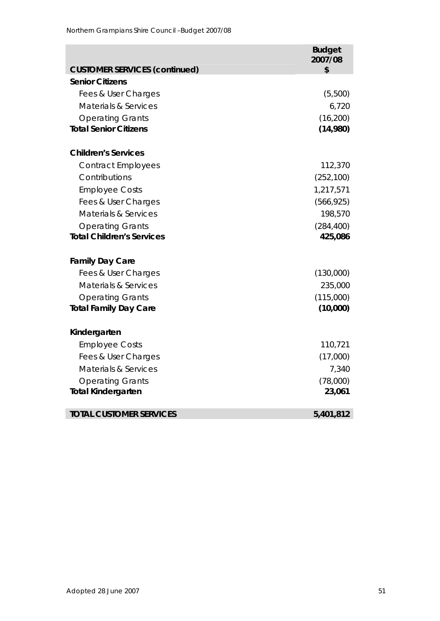|                                      | <b>Budget</b><br>2007/08 |
|--------------------------------------|--------------------------|
| <b>CUSTOMER SERVICES (continued)</b> | \$                       |
| <b>Senior Citizens</b>               |                          |
| Fees & User Charges                  | (5,500)                  |
| <b>Materials &amp; Services</b>      | 6,720                    |
| <b>Operating Grants</b>              | (16, 200)                |
| <b>Total Senior Citizens</b>         | (14,980)                 |
| <b>Children's Services</b>           |                          |
| <b>Contract Employees</b>            | 112,370                  |
| Contributions                        | (252, 100)               |
| <b>Employee Costs</b>                | 1,217,571                |
| Fees & User Charges                  | (566, 925)               |
| <b>Materials &amp; Services</b>      | 198,570                  |
| <b>Operating Grants</b>              | (284, 400)               |
| <b>Total Children's Services</b>     | 425,086                  |
| <b>Family Day Care</b>               |                          |
| Fees & User Charges                  | (130,000)                |
| <b>Materials &amp; Services</b>      | 235,000                  |
| <b>Operating Grants</b>              | (115,000)                |
| <b>Total Family Day Care</b>         | (10,000)                 |
| Kindergarten                         |                          |
| <b>Employee Costs</b>                | 110,721                  |
| Fees & User Charges                  | (17,000)                 |
| Materials & Services                 | 7,340                    |
| <b>Operating Grants</b>              | (78,000)                 |
| <b>Total Kindergarten</b>            | 23,061                   |
| <b>TOTAL CUSTOMER SERVICES</b>       | 5,401,812                |